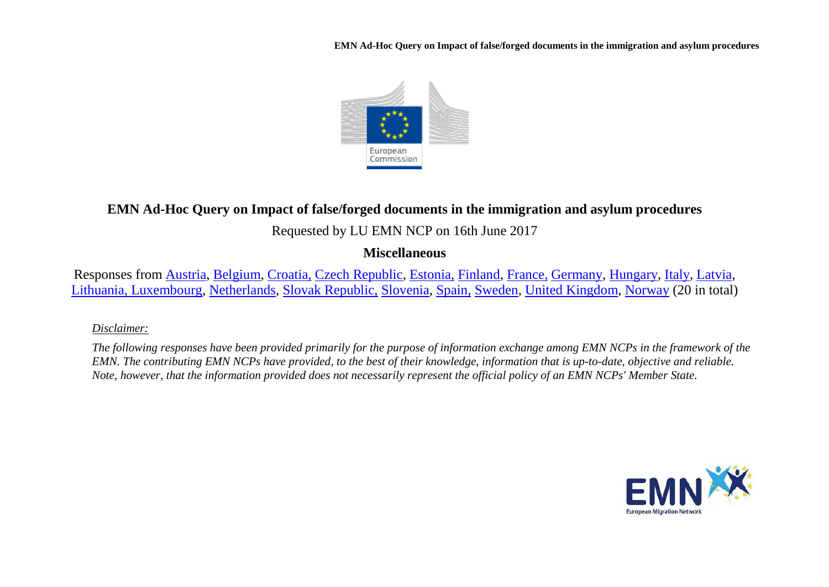**EMN Ad-Hoc Query on Impact of false/forged documents in the immigration and asylum procedures** 



# **EMN Ad-Hoc Query on Impact of false/forged documents in the immigration and asylum procedures**

## Requested by LU EMN NCP on 16th June 2017

### **Miscellaneous**

Responses from [Austria,](#page-2-0) [Belgium,](#page-4-0) [Croatia,](#page-7-0) [Czech Republic,](#page-9-0) [Estonia,](#page-9-1) [Finland,](#page-9-2) [France,](#page-9-3) [Germany,](#page-11-0) [Hungary,](#page-11-1) [Italy,](#page-12-0) [Latvia,](#page-13-0) [Lithuania, Luxembourg,](#page-15-0) [Netherlands,](#page-18-0) [Slovak Republic,](#page-20-0) [Slovenia,](#page-22-0) [Spain,](#page-23-0) [Sweden,](#page-24-0) [United Kingdom,](#page-25-0) [Norway](#page-27-0) (20 in total)

#### *Disclaimer:*

*The following responses have been provided primarily for the purpose of information exchange among EMN NCPs in the framework of the EMN. The contributing EMN NCPs have provided, to the best of their knowledge, information that is up-to-date, objective and reliable. Note, however, that the information provided does not necessarily represent the official policy of an EMN NCPs' Member State.*

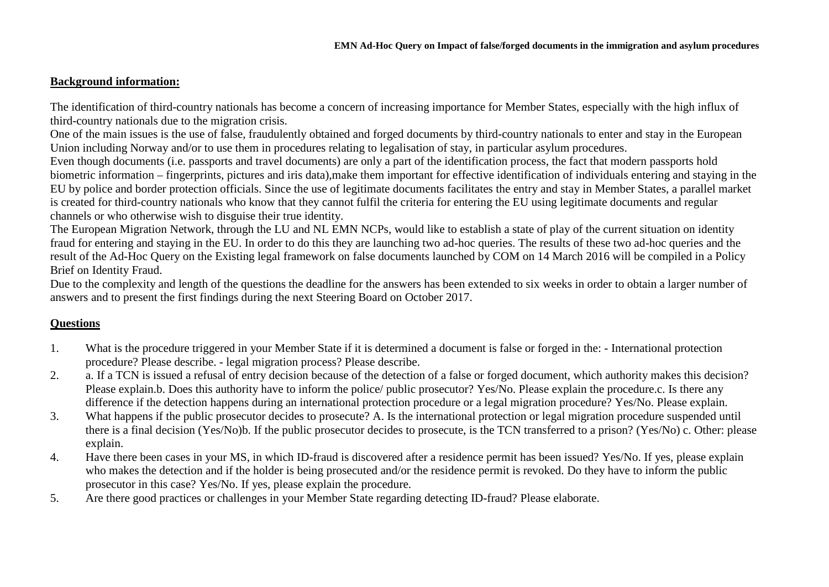#### **Background information:**

The identification of third-country nationals has become a concern of increasing importance for Member States, especially with the high influx of third-country nationals due to the migration crisis.

One of the main issues is the use of false, fraudulently obtained and forged documents by third-country nationals to enter and stay in the European Union including Norway and/or to use them in procedures relating to legalisation of stay, in particular asylum procedures.

Even though documents (i.e. passports and travel documents) are only a part of the identification process, the fact that modern passports hold biometric information – fingerprints, pictures and iris data),make them important for effective identification of individuals entering and staying in the EU by police and border protection officials. Since the use of legitimate documents facilitates the entry and stay in Member States, a parallel market is created for third-country nationals who know that they cannot fulfil the criteria for entering the EU using legitimate documents and regular channels or who otherwise wish to disguise their true identity.

The European Migration Network, through the LU and NL EMN NCPs, would like to establish a state of play of the current situation on identity fraud for entering and staying in the EU. In order to do this they are launching two ad-hoc queries. The results of these two ad-hoc queries and the result of the Ad-Hoc Query on the Existing legal framework on false documents launched by COM on 14 March 2016 will be compiled in a Policy Brief on Identity Fraud.

Due to the complexity and length of the questions the deadline for the answers has been extended to six weeks in order to obtain a larger number of answers and to present the first findings during the next Steering Board on October 2017.

### **Questions**

- 1. What is the procedure triggered in your Member State if it is determined a document is false or forged in the: International protection procedure? Please describe. - legal migration process? Please describe.
- 2. a. If a TCN is issued a refusal of entry decision because of the detection of a false or forged document, which authority makes this decision? Please explain.b. Does this authority have to inform the police/ public prosecutor? Yes/No. Please explain the procedure.c. Is there any difference if the detection happens during an international protection procedure or a legal migration procedure? Yes/No. Please explain.
- 3. What happens if the public prosecutor decides to prosecute? A. Is the international protection or legal migration procedure suspended until there is a final decision (Yes/No)b. If the public prosecutor decides to prosecute, is the TCN transferred to a prison? (Yes/No) c. Other: please explain.
- 4. Have there been cases in your MS, in which ID-fraud is discovered after a residence permit has been issued? Yes/No. If yes, please explain who makes the detection and if the holder is being prosecuted and/or the residence permit is revoked. Do they have to inform the public prosecutor in this case? Yes/No. If yes, please explain the procedure.
- 5. Are there good practices or challenges in your Member State regarding detecting ID-fraud? Please elaborate.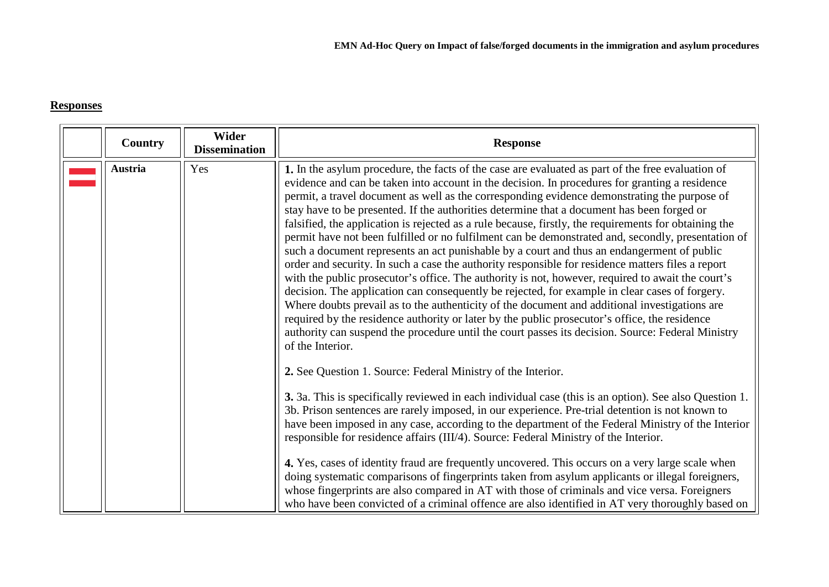### **Responses**

<span id="page-2-0"></span>

| <b>Country</b> | Wider<br><b>Dissemination</b> | <b>Response</b>                                                                                                                                                                                                                                                                                                                                                                                                                                                                                                                                                                                                                                                                                                                                                                                                                                                                                                                                                                                                                                                                                                                                                                                                                                                                                                                                       |
|----------------|-------------------------------|-------------------------------------------------------------------------------------------------------------------------------------------------------------------------------------------------------------------------------------------------------------------------------------------------------------------------------------------------------------------------------------------------------------------------------------------------------------------------------------------------------------------------------------------------------------------------------------------------------------------------------------------------------------------------------------------------------------------------------------------------------------------------------------------------------------------------------------------------------------------------------------------------------------------------------------------------------------------------------------------------------------------------------------------------------------------------------------------------------------------------------------------------------------------------------------------------------------------------------------------------------------------------------------------------------------------------------------------------------|
| <b>Austria</b> | Yes                           | 1. In the asylum procedure, the facts of the case are evaluated as part of the free evaluation of<br>evidence and can be taken into account in the decision. In procedures for granting a residence<br>permit, a travel document as well as the corresponding evidence demonstrating the purpose of<br>stay have to be presented. If the authorities determine that a document has been forged or<br>falsified, the application is rejected as a rule because, firstly, the requirements for obtaining the<br>permit have not been fulfilled or no fulfilment can be demonstrated and, secondly, presentation of<br>such a document represents an act punishable by a court and thus an endangerment of public<br>order and security. In such a case the authority responsible for residence matters files a report<br>with the public prosecutor's office. The authority is not, however, required to await the court's<br>decision. The application can consequently be rejected, for example in clear cases of forgery.<br>Where doubts prevail as to the authenticity of the document and additional investigations are<br>required by the residence authority or later by the public prosecutor's office, the residence<br>authority can suspend the procedure until the court passes its decision. Source: Federal Ministry<br>of the Interior. |
|                |                               | 2. See Question 1. Source: Federal Ministry of the Interior.<br>3. 3a. This is specifically reviewed in each individual case (this is an option). See also Question 1.<br>3b. Prison sentences are rarely imposed, in our experience. Pre-trial detention is not known to<br>have been imposed in any case, according to the department of the Federal Ministry of the Interior<br>responsible for residence affairs (III/4). Source: Federal Ministry of the Interior.<br>4. Yes, cases of identity fraud are frequently uncovered. This occurs on a very large scale when<br>doing systematic comparisons of fingerprints taken from asylum applicants or illegal foreigners,<br>whose fingerprints are also compared in AT with those of criminals and vice versa. Foreigners<br>who have been convicted of a criminal offence are also identified in AT very thoroughly based on                                                                                                                                                                                                                                                                                                                                                                                                                                                                  |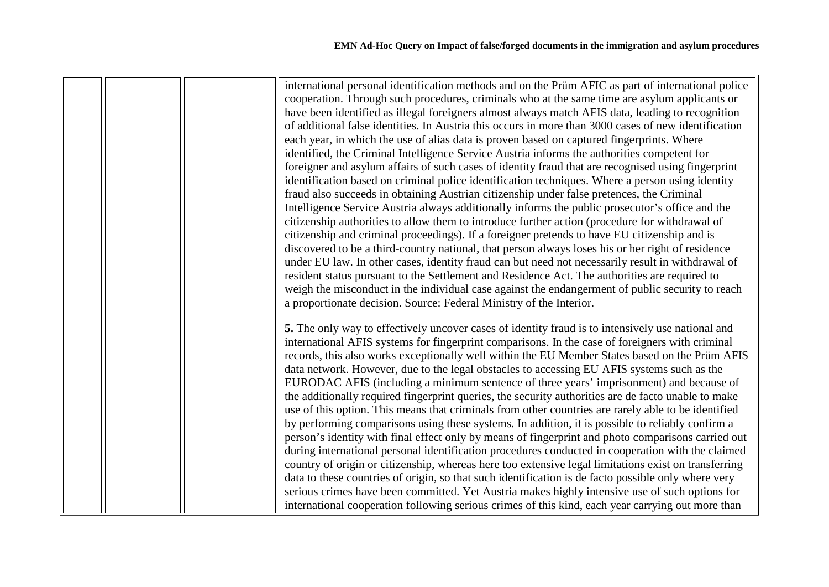|  |  | international personal identification methods and on the Prüm AFIC as part of international police   |
|--|--|------------------------------------------------------------------------------------------------------|
|  |  | cooperation. Through such procedures, criminals who at the same time are asylum applicants or        |
|  |  | have been identified as illegal foreigners almost always match AFIS data, leading to recognition     |
|  |  | of additional false identities. In Austria this occurs in more than 3000 cases of new identification |
|  |  | each year, in which the use of alias data is proven based on captured fingerprints. Where            |
|  |  | identified, the Criminal Intelligence Service Austria informs the authorities competent for          |
|  |  | foreigner and asylum affairs of such cases of identity fraud that are recognised using fingerprint   |
|  |  | identification based on criminal police identification techniques. Where a person using identity     |
|  |  | fraud also succeeds in obtaining Austrian citizenship under false pretences, the Criminal            |
|  |  | Intelligence Service Austria always additionally informs the public prosecutor's office and the      |
|  |  | citizenship authorities to allow them to introduce further action (procedure for withdrawal of       |
|  |  | citizenship and criminal proceedings). If a foreigner pretends to have EU citizenship and is         |
|  |  | discovered to be a third-country national, that person always loses his or her right of residence    |
|  |  | under EU law. In other cases, identity fraud can but need not necessarily result in withdrawal of    |
|  |  | resident status pursuant to the Settlement and Residence Act. The authorities are required to        |
|  |  | weigh the misconduct in the individual case against the endangerment of public security to reach     |
|  |  | a proportionate decision. Source: Federal Ministry of the Interior.                                  |
|  |  | 5. The only way to effectively uncover cases of identity fraud is to intensively use national and    |
|  |  | international AFIS systems for fingerprint comparisons. In the case of foreigners with criminal      |
|  |  | records, this also works exceptionally well within the EU Member States based on the Prüm AFIS       |
|  |  | data network. However, due to the legal obstacles to accessing EU AFIS systems such as the           |
|  |  | EURODAC AFIS (including a minimum sentence of three years' imprisonment) and because of              |
|  |  | the additionally required fingerprint queries, the security authorities are de facto unable to make  |
|  |  | use of this option. This means that criminals from other countries are rarely able to be identified  |
|  |  | by performing comparisons using these systems. In addition, it is possible to reliably confirm a     |
|  |  | person's identity with final effect only by means of fingerprint and photo comparisons carried out   |
|  |  | during international personal identification procedures conducted in cooperation with the claimed    |
|  |  | country of origin or citizenship, whereas here too extensive legal limitations exist on transferring |
|  |  | data to these countries of origin, so that such identification is de facto possible only where very  |
|  |  | serious crimes have been committed. Yet Austria makes highly intensive use of such options for       |
|  |  | international cooperation following serious crimes of this kind, each year carrying out more than    |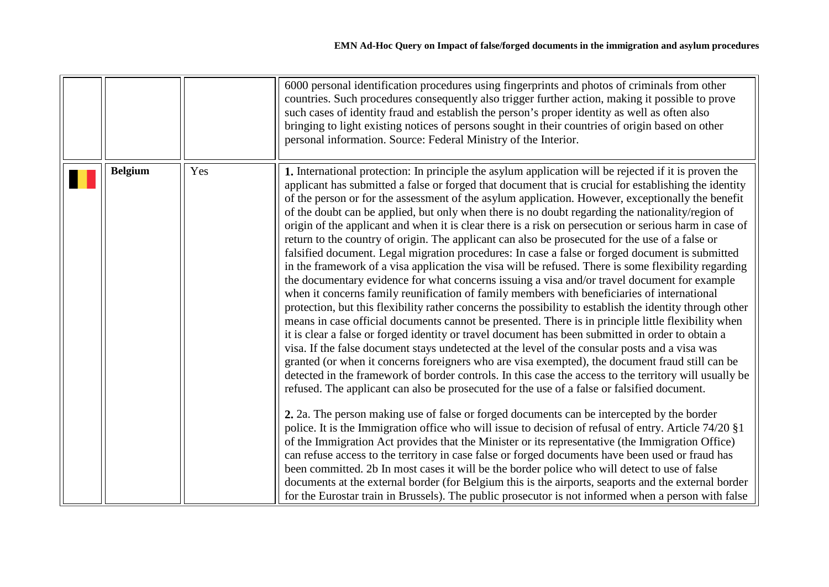<span id="page-4-0"></span>

|                |     | 6000 personal identification procedures using fingerprints and photos of criminals from other<br>countries. Such procedures consequently also trigger further action, making it possible to prove<br>such cases of identity fraud and establish the person's proper identity as well as often also<br>bringing to light existing notices of persons sought in their countries of origin based on other<br>personal information. Source: Federal Ministry of the Interior.                                                                                                                                                                                                                                                                                                                                                                                                                                                                                                                                                                                                                                                                                                                                                                                                                                                                                                                                                                                                                                                                                                                                                                                                                                                                                                                                                                                                                                                                                                                                                                                                                                                                                                                                                                                                                                                                                                                                                                                                                                           |
|----------------|-----|---------------------------------------------------------------------------------------------------------------------------------------------------------------------------------------------------------------------------------------------------------------------------------------------------------------------------------------------------------------------------------------------------------------------------------------------------------------------------------------------------------------------------------------------------------------------------------------------------------------------------------------------------------------------------------------------------------------------------------------------------------------------------------------------------------------------------------------------------------------------------------------------------------------------------------------------------------------------------------------------------------------------------------------------------------------------------------------------------------------------------------------------------------------------------------------------------------------------------------------------------------------------------------------------------------------------------------------------------------------------------------------------------------------------------------------------------------------------------------------------------------------------------------------------------------------------------------------------------------------------------------------------------------------------------------------------------------------------------------------------------------------------------------------------------------------------------------------------------------------------------------------------------------------------------------------------------------------------------------------------------------------------------------------------------------------------------------------------------------------------------------------------------------------------------------------------------------------------------------------------------------------------------------------------------------------------------------------------------------------------------------------------------------------------------------------------------------------------------------------------------------------------|
| <b>Belgium</b> | Yes | 1. International protection: In principle the asylum application will be rejected if it is proven the<br>applicant has submitted a false or forged that document that is crucial for establishing the identity<br>of the person or for the assessment of the asylum application. However, exceptionally the benefit<br>of the doubt can be applied, but only when there is no doubt regarding the nationality/region of<br>origin of the applicant and when it is clear there is a risk on persecution or serious harm in case of<br>return to the country of origin. The applicant can also be prosecuted for the use of a false or<br>falsified document. Legal migration procedures: In case a false or forged document is submitted<br>in the framework of a visa application the visa will be refused. There is some flexibility regarding<br>the documentary evidence for what concerns issuing a visa and/or travel document for example<br>when it concerns family reunification of family members with beneficiaries of international<br>protection, but this flexibility rather concerns the possibility to establish the identity through other<br>means in case official documents cannot be presented. There is in principle little flexibility when<br>it is clear a false or forged identity or travel document has been submitted in order to obtain a<br>visa. If the false document stays undetected at the level of the consular posts and a visa was<br>granted (or when it concerns foreigners who are visa exempted), the document fraud still can be<br>detected in the framework of border controls. In this case the access to the territory will usually be<br>refused. The applicant can also be prosecuted for the use of a false or falsified document.<br>2. 2a. The person making use of false or forged documents can be intercepted by the border<br>police. It is the Immigration office who will issue to decision of refusal of entry. Article 74/20 §1<br>of the Immigration Act provides that the Minister or its representative (the Immigration Office)<br>can refuse access to the territory in case false or forged documents have been used or fraud has<br>been committed. 2b In most cases it will be the border police who will detect to use of false<br>documents at the external border (for Belgium this is the airports, seaports and the external border<br>for the Eurostar train in Brussels). The public prosecutor is not informed when a person with false |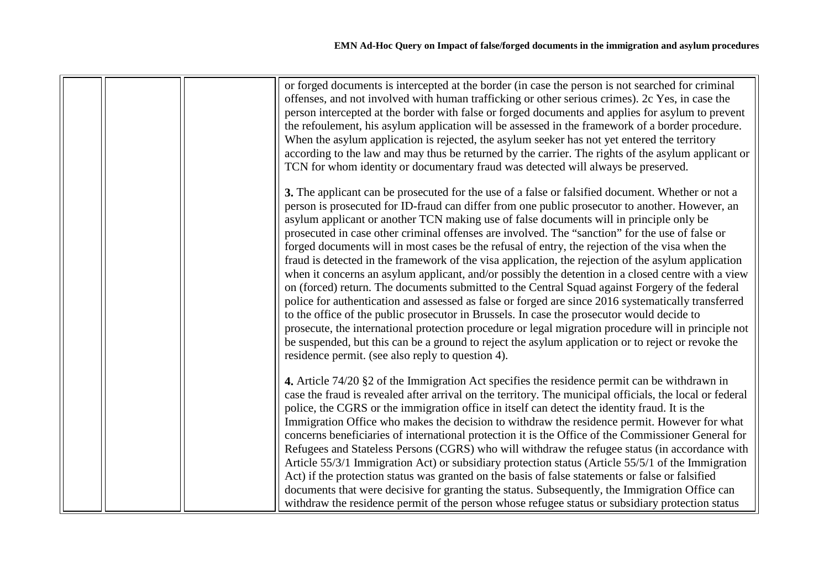|  | or forged documents is intercepted at the border (in case the person is not searched for criminal<br>offenses, and not involved with human trafficking or other serious crimes). 2c Yes, in case the<br>person intercepted at the border with false or forged documents and applies for asylum to prevent<br>the refoulement, his asylum application will be assessed in the framework of a border procedure.<br>When the asylum application is rejected, the asylum seeker has not yet entered the territory<br>according to the law and may thus be returned by the carrier. The rights of the asylum applicant or<br>TCN for whom identity or documentary fraud was detected will always be preserved.<br>3. The applicant can be prosecuted for the use of a false or falsified document. Whether or not a<br>person is prosecuted for ID-fraud can differ from one public prosecutor to another. However, an                                                                                                                                                                     |
|--|---------------------------------------------------------------------------------------------------------------------------------------------------------------------------------------------------------------------------------------------------------------------------------------------------------------------------------------------------------------------------------------------------------------------------------------------------------------------------------------------------------------------------------------------------------------------------------------------------------------------------------------------------------------------------------------------------------------------------------------------------------------------------------------------------------------------------------------------------------------------------------------------------------------------------------------------------------------------------------------------------------------------------------------------------------------------------------------|
|  | asylum applicant or another TCN making use of false documents will in principle only be<br>prosecuted in case other criminal offenses are involved. The "sanction" for the use of false or<br>forged documents will in most cases be the refusal of entry, the rejection of the visa when the<br>fraud is detected in the framework of the visa application, the rejection of the asylum application<br>when it concerns an asylum applicant, and/or possibly the detention in a closed centre with a view<br>on (forced) return. The documents submitted to the Central Squad against Forgery of the federal<br>police for authentication and assessed as false or forged are since 2016 systematically transferred<br>to the office of the public prosecutor in Brussels. In case the prosecutor would decide to<br>prosecute, the international protection procedure or legal migration procedure will in principle not<br>be suspended, but this can be a ground to reject the asylum application or to reject or revoke the<br>residence permit. (see also reply to question 4). |
|  | 4. Article 74/20 §2 of the Immigration Act specifies the residence permit can be withdrawn in<br>case the fraud is revealed after arrival on the territory. The municipal officials, the local or federal<br>police, the CGRS or the immigration office in itself can detect the identity fraud. It is the<br>Immigration Office who makes the decision to withdraw the residence permit. However for what<br>concerns beneficiaries of international protection it is the Office of the Commissioner General for<br>Refugees and Stateless Persons (CGRS) who will withdraw the refugee status (in accordance with<br>Article 55/3/1 Immigration Act) or subsidiary protection status (Article 55/5/1 of the Immigration<br>Act) if the protection status was granted on the basis of false statements or false or falsified<br>documents that were decisive for granting the status. Subsequently, the Immigration Office can<br>withdraw the residence permit of the person whose refugee status or subsidiary protection status                                                   |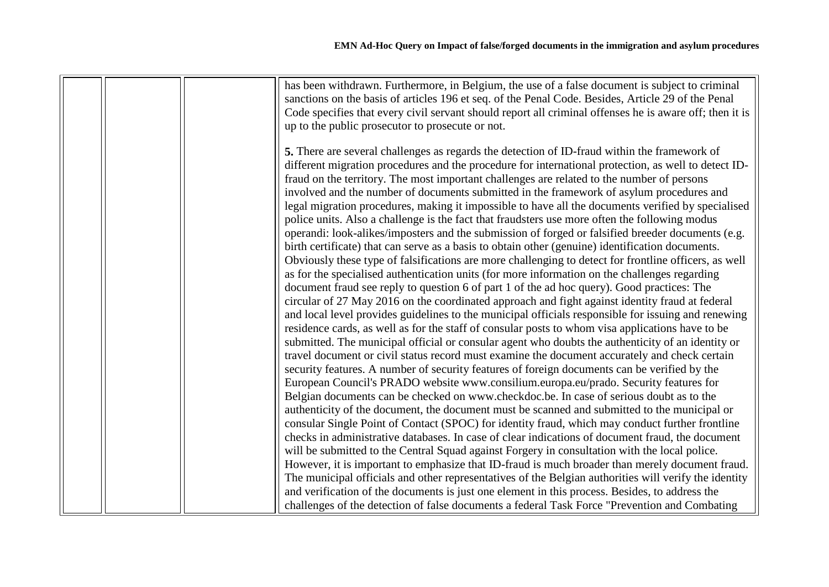|  | has been withdrawn. Furthermore, in Belgium, the use of a false document is subject to criminal         |
|--|---------------------------------------------------------------------------------------------------------|
|  | sanctions on the basis of articles 196 et seq. of the Penal Code. Besides, Article 29 of the Penal      |
|  | Code specifies that every civil servant should report all criminal offenses he is aware off; then it is |
|  | up to the public prosecutor to prosecute or not.                                                        |
|  |                                                                                                         |
|  | 5. There are several challenges as regards the detection of ID-fraud within the framework of            |
|  | different migration procedures and the procedure for international protection, as well to detect ID-    |
|  | fraud on the territory. The most important challenges are related to the number of persons              |
|  | involved and the number of documents submitted in the framework of asylum procedures and                |
|  | legal migration procedures, making it impossible to have all the documents verified by specialised      |
|  | police units. Also a challenge is the fact that fraudsters use more often the following modus           |
|  | operandi: look-alikes/imposters and the submission of forged or falsified breeder documents (e.g.       |
|  | birth certificate) that can serve as a basis to obtain other (genuine) identification documents.        |
|  |                                                                                                         |
|  | Obviously these type of falsifications are more challenging to detect for frontline officers, as well   |
|  | as for the specialised authentication units (for more information on the challenges regarding           |
|  | document fraud see reply to question 6 of part 1 of the ad hoc query). Good practices: The              |
|  | circular of 27 May 2016 on the coordinated approach and fight against identity fraud at federal         |
|  | and local level provides guidelines to the municipal officials responsible for issuing and renewing     |
|  | residence cards, as well as for the staff of consular posts to whom visa applications have to be        |
|  | submitted. The municipal official or consular agent who doubts the authenticity of an identity or       |
|  | travel document or civil status record must examine the document accurately and check certain           |
|  | security features. A number of security features of foreign documents can be verified by the            |
|  | European Council's PRADO website www.consilium.europa.eu/prado. Security features for                   |
|  | Belgian documents can be checked on www.checkdoc.be. In case of serious doubt as to the                 |
|  | authenticity of the document, the document must be scanned and submitted to the municipal or            |
|  | consular Single Point of Contact (SPOC) for identity fraud, which may conduct further frontline         |
|  | checks in administrative databases. In case of clear indications of document fraud, the document        |
|  | will be submitted to the Central Squad against Forgery in consultation with the local police.           |
|  | However, it is important to emphasize that ID-fraud is much broader than merely document fraud.         |
|  | The municipal officials and other representatives of the Belgian authorities will verify the identity   |
|  | and verification of the documents is just one element in this process. Besides, to address the          |
|  | challenges of the detection of false documents a federal Task Force "Prevention and Combating           |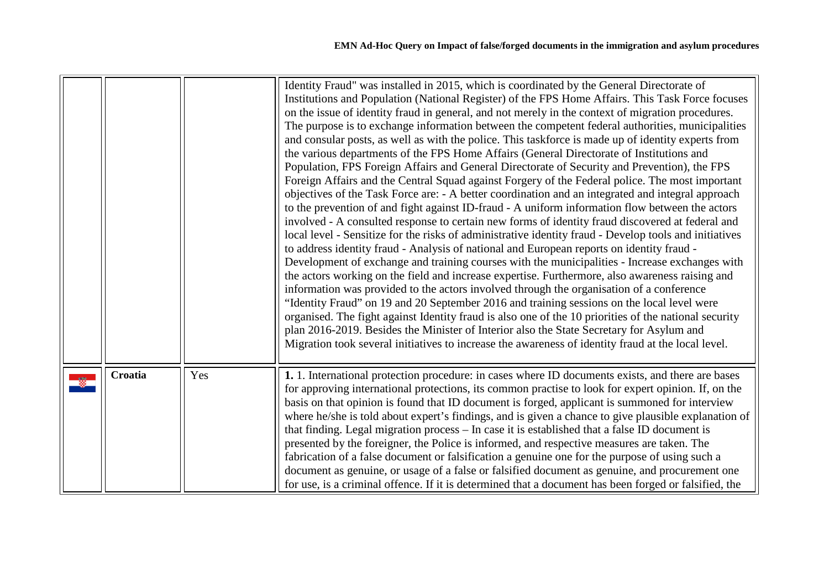<span id="page-7-0"></span>

|         |     | Identity Fraud" was installed in 2015, which is coordinated by the General Directorate of<br>Institutions and Population (National Register) of the FPS Home Affairs. This Task Force focuses<br>on the issue of identity fraud in general, and not merely in the context of migration procedures.<br>The purpose is to exchange information between the competent federal authorities, municipalities<br>and consular posts, as well as with the police. This taskforce is made up of identity experts from<br>the various departments of the FPS Home Affairs (General Directorate of Institutions and<br>Population, FPS Foreign Affairs and General Directorate of Security and Prevention), the FPS<br>Foreign Affairs and the Central Squad against Forgery of the Federal police. The most important<br>objectives of the Task Force are: - A better coordination and an integrated and integral approach<br>to the prevention of and fight against ID-fraud - A uniform information flow between the actors<br>involved - A consulted response to certain new forms of identity fraud discovered at federal and<br>local level - Sensitize for the risks of administrative identity fraud - Develop tools and initiatives<br>to address identity fraud - Analysis of national and European reports on identity fraud -<br>Development of exchange and training courses with the municipalities - Increase exchanges with<br>the actors working on the field and increase expertise. Furthermore, also awareness raising and<br>information was provided to the actors involved through the organisation of a conference<br>"Identity Fraud" on 19 and 20 September 2016 and training sessions on the local level were<br>organised. The fight against Identity fraud is also one of the 10 priorities of the national security<br>plan 2016-2019. Besides the Minister of Interior also the State Secretary for Asylum and<br>Migration took several initiatives to increase the awareness of identity fraud at the local level. |
|---------|-----|------------------------------------------------------------------------------------------------------------------------------------------------------------------------------------------------------------------------------------------------------------------------------------------------------------------------------------------------------------------------------------------------------------------------------------------------------------------------------------------------------------------------------------------------------------------------------------------------------------------------------------------------------------------------------------------------------------------------------------------------------------------------------------------------------------------------------------------------------------------------------------------------------------------------------------------------------------------------------------------------------------------------------------------------------------------------------------------------------------------------------------------------------------------------------------------------------------------------------------------------------------------------------------------------------------------------------------------------------------------------------------------------------------------------------------------------------------------------------------------------------------------------------------------------------------------------------------------------------------------------------------------------------------------------------------------------------------------------------------------------------------------------------------------------------------------------------------------------------------------------------------------------------------------------------------------------------------------------------------------------------------------------------------------|
| Croatia | Yes | 1. 1. International protection procedure: in cases where ID documents exists, and there are bases<br>for approving international protections, its common practise to look for expert opinion. If, on the<br>basis on that opinion is found that ID document is forged, applicant is summoned for interview<br>where he/she is told about expert's findings, and is given a chance to give plausible explanation of<br>that finding. Legal migration process - In case it is established that a false ID document is<br>presented by the foreigner, the Police is informed, and respective measures are taken. The<br>fabrication of a false document or falsification a genuine one for the purpose of using such a<br>document as genuine, or usage of a false or falsified document as genuine, and procurement one<br>for use, is a criminal offence. If it is determined that a document has been forged or falsified, the                                                                                                                                                                                                                                                                                                                                                                                                                                                                                                                                                                                                                                                                                                                                                                                                                                                                                                                                                                                                                                                                                                           |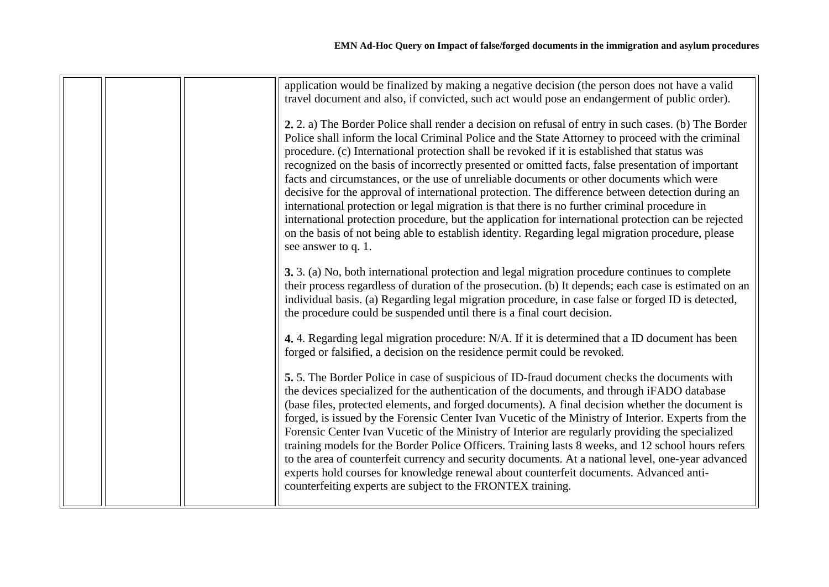|  | application would be finalized by making a negative decision (the person does not have a valid<br>travel document and also, if convicted, such act would pose an endangerment of public order).                                                                                                                                                                                                                                                                                                                                                                                                                                                                                                                                                                                                                                                                                                                                                         |
|--|---------------------------------------------------------------------------------------------------------------------------------------------------------------------------------------------------------------------------------------------------------------------------------------------------------------------------------------------------------------------------------------------------------------------------------------------------------------------------------------------------------------------------------------------------------------------------------------------------------------------------------------------------------------------------------------------------------------------------------------------------------------------------------------------------------------------------------------------------------------------------------------------------------------------------------------------------------|
|  | 2. 2. a) The Border Police shall render a decision on refusal of entry in such cases. (b) The Border<br>Police shall inform the local Criminal Police and the State Attorney to proceed with the criminal<br>procedure. (c) International protection shall be revoked if it is established that status was<br>recognized on the basis of incorrectly presented or omitted facts, false presentation of important<br>facts and circumstances, or the use of unreliable documents or other documents which were<br>decisive for the approval of international protection. The difference between detection during an<br>international protection or legal migration is that there is no further criminal procedure in<br>international protection procedure, but the application for international protection can be rejected<br>on the basis of not being able to establish identity. Regarding legal migration procedure, please<br>see answer to q. 1. |
|  | 3. 3. (a) No, both international protection and legal migration procedure continues to complete<br>their process regardless of duration of the prosecution. (b) It depends; each case is estimated on an<br>individual basis. (a) Regarding legal migration procedure, in case false or forged ID is detected,<br>the procedure could be suspended until there is a final court decision.                                                                                                                                                                                                                                                                                                                                                                                                                                                                                                                                                               |
|  | 4. 4. Regarding legal migration procedure: N/A. If it is determined that a ID document has been<br>forged or falsified, a decision on the residence permit could be revoked.                                                                                                                                                                                                                                                                                                                                                                                                                                                                                                                                                                                                                                                                                                                                                                            |
|  | 5.5. The Border Police in case of suspicious of ID-fraud document checks the documents with<br>the devices specialized for the authentication of the documents, and through iFADO database<br>(base files, protected elements, and forged documents). A final decision whether the document is<br>forged, is issued by the Forensic Center Ivan Vucetic of the Ministry of Interior. Experts from the<br>Forensic Center Ivan Vucetic of the Ministry of Interior are regularly providing the specialized<br>training models for the Border Police Officers. Training lasts 8 weeks, and 12 school hours refers<br>to the area of counterfeit currency and security documents. At a national level, one-year advanced<br>experts hold courses for knowledge renewal about counterfeit documents. Advanced anti-<br>counterfeiting experts are subject to the FRONTEX training.                                                                          |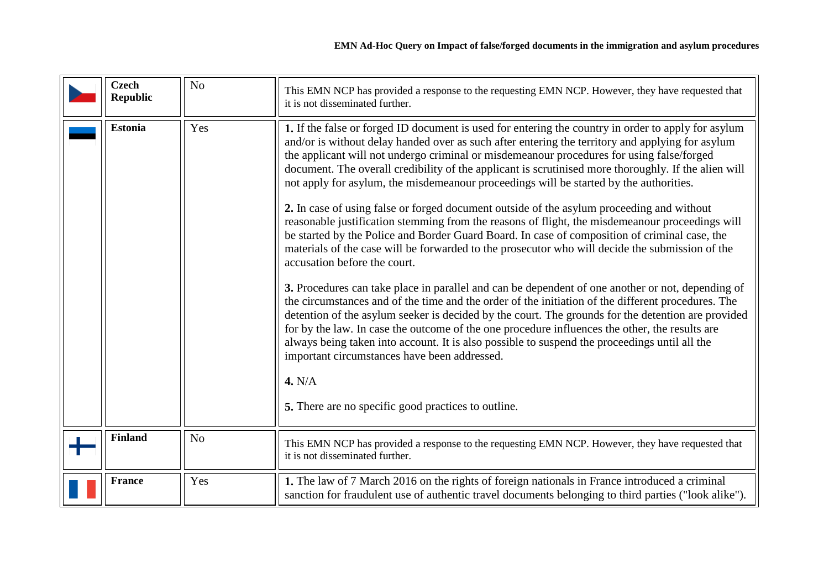<span id="page-9-3"></span><span id="page-9-2"></span><span id="page-9-1"></span><span id="page-9-0"></span>

| <b>Czech</b><br><b>Republic</b> | N <sub>o</sub> | This EMN NCP has provided a response to the requesting EMN NCP. However, they have requested that<br>it is not disseminated further.                                                                                                                                                                                                                                                                                                                                                                                                                                                                                                                                                                                                                                                                                                                                                                                                                                                                                                                                                                                                                                                                                                                                                                                                                                                                                                                                                                                                                                            |
|---------------------------------|----------------|---------------------------------------------------------------------------------------------------------------------------------------------------------------------------------------------------------------------------------------------------------------------------------------------------------------------------------------------------------------------------------------------------------------------------------------------------------------------------------------------------------------------------------------------------------------------------------------------------------------------------------------------------------------------------------------------------------------------------------------------------------------------------------------------------------------------------------------------------------------------------------------------------------------------------------------------------------------------------------------------------------------------------------------------------------------------------------------------------------------------------------------------------------------------------------------------------------------------------------------------------------------------------------------------------------------------------------------------------------------------------------------------------------------------------------------------------------------------------------------------------------------------------------------------------------------------------------|
| <b>Estonia</b>                  | Yes            | 1. If the false or forged ID document is used for entering the country in order to apply for asylum<br>and/or is without delay handed over as such after entering the territory and applying for asylum<br>the applicant will not undergo criminal or misdemeanour procedures for using false/forged<br>document. The overall credibility of the applicant is scrutinised more thoroughly. If the alien will<br>not apply for asylum, the misdemeanour proceedings will be started by the authorities.<br>2. In case of using false or forged document outside of the asylum proceeding and without<br>reasonable justification stemming from the reasons of flight, the misdemeanour proceedings will<br>be started by the Police and Border Guard Board. In case of composition of criminal case, the<br>materials of the case will be forwarded to the prosecutor who will decide the submission of the<br>accusation before the court.<br>3. Procedures can take place in parallel and can be dependent of one another or not, depending of<br>the circumstances and of the time and the order of the initiation of the different procedures. The<br>detention of the asylum seeker is decided by the court. The grounds for the detention are provided<br>for by the law. In case the outcome of the one procedure influences the other, the results are<br>always being taken into account. It is also possible to suspend the proceedings until all the<br>important circumstances have been addressed.<br>4. N/A<br>5. There are no specific good practices to outline. |
| <b>Finland</b>                  | N <sub>o</sub> | This EMN NCP has provided a response to the requesting EMN NCP. However, they have requested that<br>it is not disseminated further.                                                                                                                                                                                                                                                                                                                                                                                                                                                                                                                                                                                                                                                                                                                                                                                                                                                                                                                                                                                                                                                                                                                                                                                                                                                                                                                                                                                                                                            |
| <b>France</b>                   | Yes            | 1. The law of 7 March 2016 on the rights of foreign nationals in France introduced a criminal<br>sanction for fraudulent use of authentic travel documents belonging to third parties ("look alike").                                                                                                                                                                                                                                                                                                                                                                                                                                                                                                                                                                                                                                                                                                                                                                                                                                                                                                                                                                                                                                                                                                                                                                                                                                                                                                                                                                           |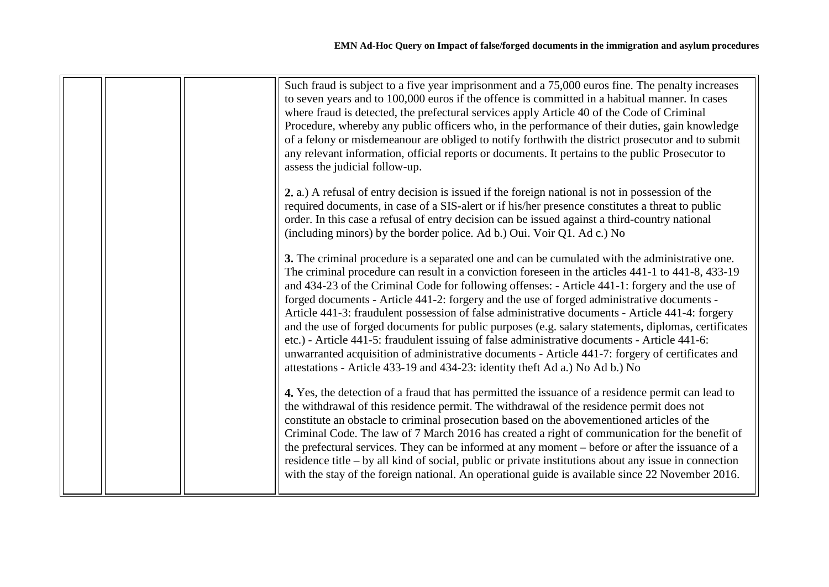| Such fraud is subject to a five year imprisonment and a 75,000 euros fine. The penalty increases<br>to seven years and to 100,000 euros if the offence is committed in a habitual manner. In cases<br>where fraud is detected, the prefectural services apply Article 40 of the Code of Criminal<br>Procedure, whereby any public officers who, in the performance of their duties, gain knowledge<br>of a felony or misdemeanour are obliged to notify forthwith the district prosecutor and to submit<br>any relevant information, official reports or documents. It pertains to the public Prosecutor to<br>assess the judicial follow-up.                                                                                                                                                                                                                                                      |
|----------------------------------------------------------------------------------------------------------------------------------------------------------------------------------------------------------------------------------------------------------------------------------------------------------------------------------------------------------------------------------------------------------------------------------------------------------------------------------------------------------------------------------------------------------------------------------------------------------------------------------------------------------------------------------------------------------------------------------------------------------------------------------------------------------------------------------------------------------------------------------------------------|
| 2. a.) A refusal of entry decision is issued if the foreign national is not in possession of the<br>required documents, in case of a SIS-alert or if his/her presence constitutes a threat to public<br>order. In this case a refusal of entry decision can be issued against a third-country national<br>(including minors) by the border police. Ad b.) Oui. Voir Q1. Ad c.) No                                                                                                                                                                                                                                                                                                                                                                                                                                                                                                                  |
| 3. The criminal procedure is a separated one and can be cumulated with the administrative one.<br>The criminal procedure can result in a conviction foreseen in the articles 441-1 to 441-8, 433-19<br>and 434-23 of the Criminal Code for following offenses: - Article 441-1: forgery and the use of<br>forged documents - Article 441-2: forgery and the use of forged administrative documents -<br>Article 441-3: fraudulent possession of false administrative documents - Article 441-4: forgery<br>and the use of forged documents for public purposes (e.g. salary statements, diplomas, certificates<br>etc.) - Article 441-5: fraudulent issuing of false administrative documents - Article 441-6:<br>unwarranted acquisition of administrative documents - Article 441-7: forgery of certificates and<br>attestations - Article 433-19 and 434-23: identity theft Ad a.) No Ad b.) No |
| 4. Yes, the detection of a fraud that has permitted the issuance of a residence permit can lead to<br>the withdrawal of this residence permit. The withdrawal of the residence permit does not<br>constitute an obstacle to criminal prosecution based on the abovementioned articles of the<br>Criminal Code. The law of 7 March 2016 has created a right of communication for the benefit of<br>the prefectural services. They can be informed at any moment – before or after the issuance of a<br>residence title – by all kind of social, public or private institutions about any issue in connection<br>with the stay of the foreign national. An operational guide is available since 22 November 2016.                                                                                                                                                                                    |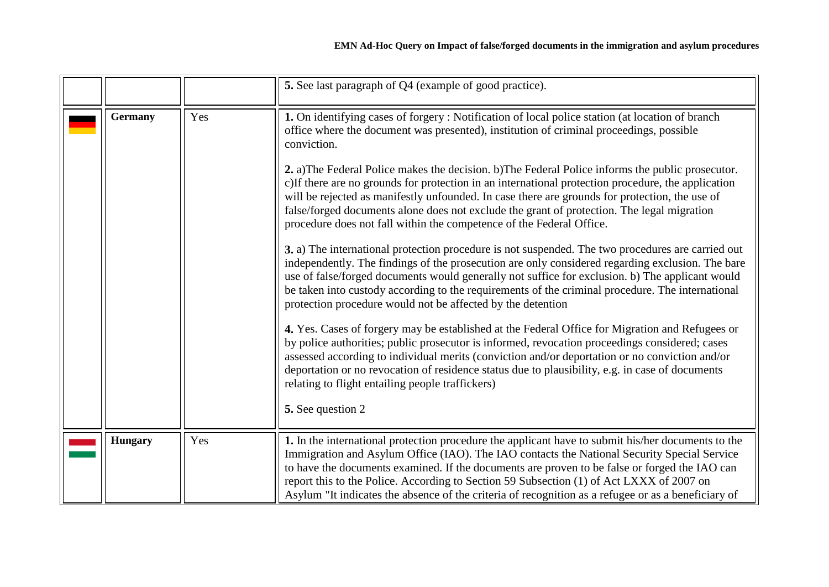<span id="page-11-1"></span><span id="page-11-0"></span>

|                |     | 5. See last paragraph of Q4 (example of good practice).                                                                                                                                                                                                                                                                                                                                                                                                                                                                                                                                                                                                                                                                                                                                                                                                                                                                                                                                                                                                                                                                                                                                                                                                                                                                                                                                                                                                                                                                                                                                                                                                         |
|----------------|-----|-----------------------------------------------------------------------------------------------------------------------------------------------------------------------------------------------------------------------------------------------------------------------------------------------------------------------------------------------------------------------------------------------------------------------------------------------------------------------------------------------------------------------------------------------------------------------------------------------------------------------------------------------------------------------------------------------------------------------------------------------------------------------------------------------------------------------------------------------------------------------------------------------------------------------------------------------------------------------------------------------------------------------------------------------------------------------------------------------------------------------------------------------------------------------------------------------------------------------------------------------------------------------------------------------------------------------------------------------------------------------------------------------------------------------------------------------------------------------------------------------------------------------------------------------------------------------------------------------------------------------------------------------------------------|
| <b>Germany</b> | Yes | 1. On identifying cases of forgery: Notification of local police station (at location of branch<br>office where the document was presented), institution of criminal proceedings, possible<br>conviction.<br>2. a) The Federal Police makes the decision. b) The Federal Police informs the public prosecutor.<br>c) If there are no grounds for protection in an international protection procedure, the application<br>will be rejected as manifestly unfounded. In case there are grounds for protection, the use of<br>false/forged documents alone does not exclude the grant of protection. The legal migration<br>procedure does not fall within the competence of the Federal Office.<br>3. a) The international protection procedure is not suspended. The two procedures are carried out<br>independently. The findings of the prosecution are only considered regarding exclusion. The bare<br>use of false/forged documents would generally not suffice for exclusion. b) The applicant would<br>be taken into custody according to the requirements of the criminal procedure. The international<br>protection procedure would not be affected by the detention<br>4. Yes. Cases of forgery may be established at the Federal Office for Migration and Refugees or<br>by police authorities; public prosecutor is informed, revocation proceedings considered; cases<br>assessed according to individual merits (conviction and/or deportation or no conviction and/or<br>deportation or no revocation of residence status due to plausibility, e.g. in case of documents<br>relating to flight entailing people traffickers)<br>5. See question 2 |
| <b>Hungary</b> | Yes | 1. In the international protection procedure the applicant have to submit his/her documents to the<br>Immigration and Asylum Office (IAO). The IAO contacts the National Security Special Service<br>to have the documents examined. If the documents are proven to be false or forged the IAO can<br>report this to the Police. According to Section 59 Subsection (1) of Act LXXX of 2007 on<br>Asylum "It indicates the absence of the criteria of recognition as a refugee or as a beneficiary of                                                                                                                                                                                                                                                                                                                                                                                                                                                                                                                                                                                                                                                                                                                                                                                                                                                                                                                                                                                                                                                                                                                                                           |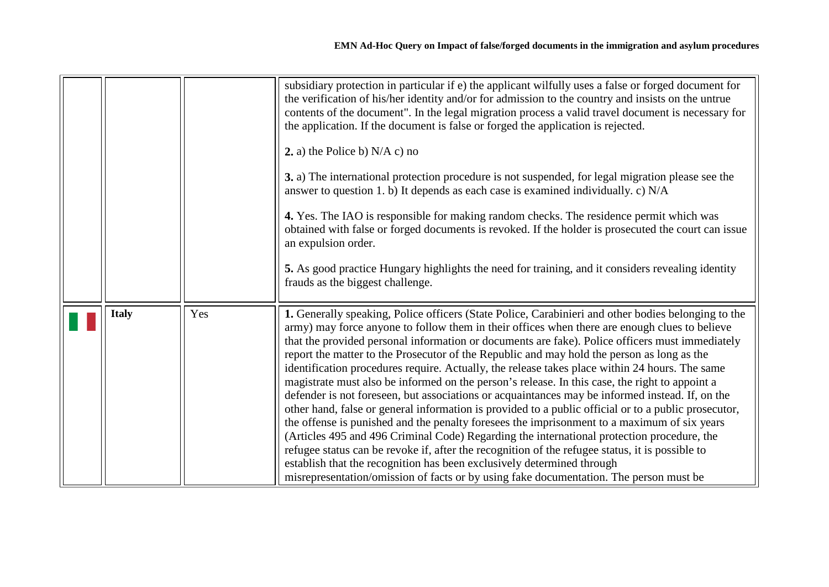<span id="page-12-0"></span>

|              |     | subsidiary protection in particular if e) the applicant wilfully uses a false or forged document for<br>the verification of his/her identity and/or for admission to the country and insists on the untrue<br>contents of the document". In the legal migration process a valid travel document is necessary for<br>the application. If the document is false or forged the application is rejected.<br>2. a) the Police b) $N/A$ c) no<br>3. a) The international protection procedure is not suspended, for legal migration please see the<br>answer to question 1. b) It depends as each case is examined individually. c) N/A<br>4. Yes. The IAO is responsible for making random checks. The residence permit which was<br>obtained with false or forged documents is revoked. If the holder is prosecuted the court can issue<br>an expulsion order.<br>5. As good practice Hungary highlights the need for training, and it considers revealing identity<br>frauds as the biggest challenge.                                                                                                                                                                                                                                                                                      |
|--------------|-----|------------------------------------------------------------------------------------------------------------------------------------------------------------------------------------------------------------------------------------------------------------------------------------------------------------------------------------------------------------------------------------------------------------------------------------------------------------------------------------------------------------------------------------------------------------------------------------------------------------------------------------------------------------------------------------------------------------------------------------------------------------------------------------------------------------------------------------------------------------------------------------------------------------------------------------------------------------------------------------------------------------------------------------------------------------------------------------------------------------------------------------------------------------------------------------------------------------------------------------------------------------------------------------------|
| <b>Italy</b> | Yes | 1. Generally speaking, Police officers (State Police, Carabinieri and other bodies belonging to the<br>army) may force anyone to follow them in their offices when there are enough clues to believe<br>that the provided personal information or documents are fake). Police officers must immediately<br>report the matter to the Prosecutor of the Republic and may hold the person as long as the<br>identification procedures require. Actually, the release takes place within 24 hours. The same<br>magistrate must also be informed on the person's release. In this case, the right to appoint a<br>defender is not foreseen, but associations or acquaintances may be informed instead. If, on the<br>other hand, false or general information is provided to a public official or to a public prosecutor,<br>the offense is punished and the penalty foresees the imprisonment to a maximum of six years<br>(Articles 495 and 496 Criminal Code) Regarding the international protection procedure, the<br>refugee status can be revoke if, after the recognition of the refugee status, it is possible to<br>establish that the recognition has been exclusively determined through<br>misrepresentation/omission of facts or by using fake documentation. The person must be |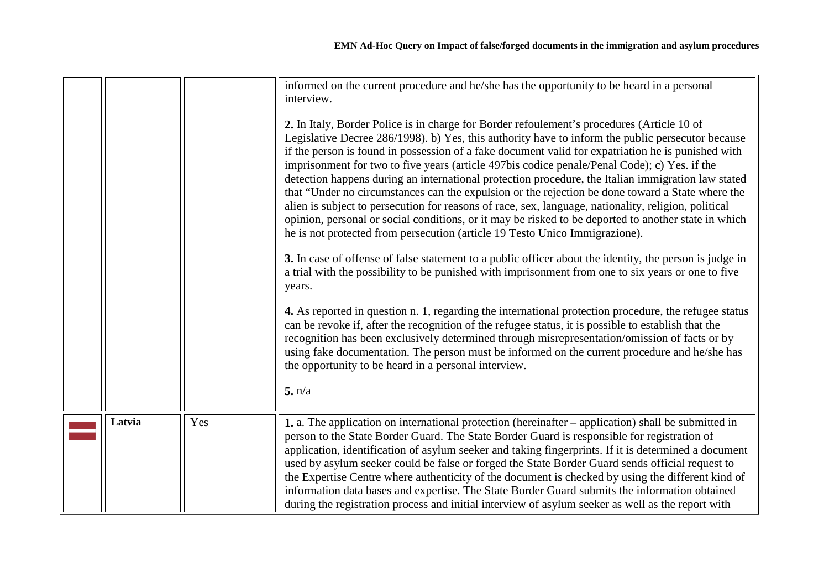<span id="page-13-0"></span>

|        |     | informed on the current procedure and he/she has the opportunity to be heard in a personal<br>interview.<br>2. In Italy, Border Police is in charge for Border refoulement's procedures (Article 10 of<br>Legislative Decree 286/1998). b) Yes, this authority have to inform the public persecutor because<br>if the person is found in possession of a fake document valid for expatriation he is punished with<br>imprisonment for two to five years (article 497bis codice penale/Penal Code); c) Yes. if the<br>detection happens during an international protection procedure, the Italian immigration law stated<br>that "Under no circumstances can the expulsion or the rejection be done toward a State where the<br>alien is subject to persecution for reasons of race, sex, language, nationality, religion, political<br>opinion, personal or social conditions, or it may be risked to be deported to another state in which<br>he is not protected from persecution (article 19 Testo Unico Immigrazione). |
|--------|-----|----------------------------------------------------------------------------------------------------------------------------------------------------------------------------------------------------------------------------------------------------------------------------------------------------------------------------------------------------------------------------------------------------------------------------------------------------------------------------------------------------------------------------------------------------------------------------------------------------------------------------------------------------------------------------------------------------------------------------------------------------------------------------------------------------------------------------------------------------------------------------------------------------------------------------------------------------------------------------------------------------------------------------|
|        |     | 3. In case of offense of false statement to a public officer about the identity, the person is judge in<br>a trial with the possibility to be punished with imprisonment from one to six years or one to five<br>years.                                                                                                                                                                                                                                                                                                                                                                                                                                                                                                                                                                                                                                                                                                                                                                                                    |
|        |     | 4. As reported in question n. 1, regarding the international protection procedure, the refugee status<br>can be revoke if, after the recognition of the refugee status, it is possible to establish that the<br>recognition has been exclusively determined through misrepresentation/omission of facts or by<br>using fake documentation. The person must be informed on the current procedure and he/she has<br>the opportunity to be heard in a personal interview.                                                                                                                                                                                                                                                                                                                                                                                                                                                                                                                                                     |
|        |     | 5. n/a                                                                                                                                                                                                                                                                                                                                                                                                                                                                                                                                                                                                                                                                                                                                                                                                                                                                                                                                                                                                                     |
| Latvia | Yes | 1. a. The application on international protection (hereinafter – application) shall be submitted in<br>person to the State Border Guard. The State Border Guard is responsible for registration of<br>application, identification of asylum seeker and taking fingerprints. If it is determined a document<br>used by asylum seeker could be false or forged the State Border Guard sends official request to<br>the Expertise Centre where authenticity of the document is checked by using the different kind of<br>information data bases and expertise. The State Border Guard submits the information obtained<br>during the registration process and initial interview of asylum seeker as well as the report with                                                                                                                                                                                                                                                                                                   |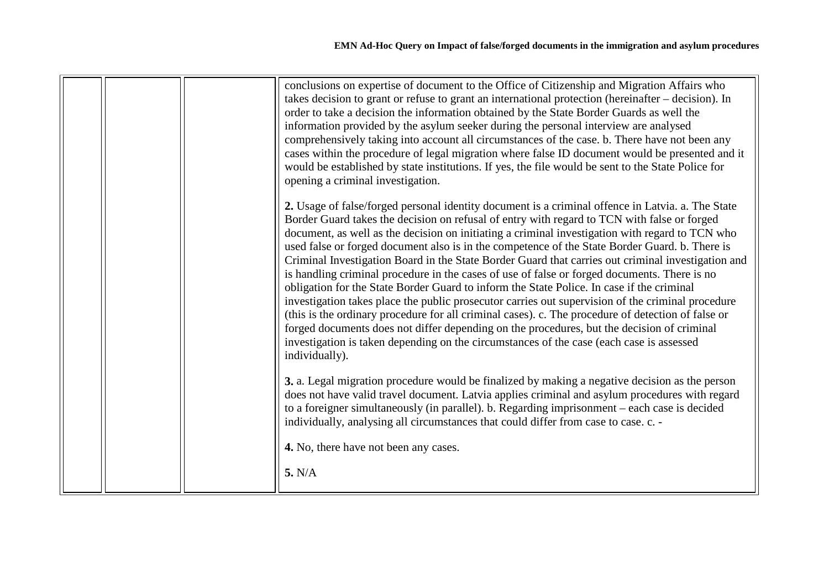| conclusions on expertise of document to the Office of Citizenship and Migration Affairs who<br>takes decision to grant or refuse to grant an international protection (hereinafter – decision). In<br>order to take a decision the information obtained by the State Border Guards as well the<br>information provided by the asylum seeker during the personal interview are analysed<br>comprehensively taking into account all circumstances of the case. b. There have not been any<br>cases within the procedure of legal migration where false ID document would be presented and it<br>would be established by state institutions. If yes, the file would be sent to the State Police for<br>opening a criminal investigation.<br>2. Usage of false/forged personal identity document is a criminal offence in Latvia. a. The State<br>Border Guard takes the decision on refusal of entry with regard to TCN with false or forged<br>document, as well as the decision on initiating a criminal investigation with regard to TCN who<br>used false or forged document also is in the competence of the State Border Guard. b. There is<br>Criminal Investigation Board in the State Border Guard that carries out criminal investigation and<br>is handling criminal procedure in the cases of use of false or forged documents. There is no<br>obligation for the State Border Guard to inform the State Police. In case if the criminal<br>investigation takes place the public prosecutor carries out supervision of the criminal procedure<br>(this is the ordinary procedure for all criminal cases). c. The procedure of detection of false or<br>forged documents does not differ depending on the procedures, but the decision of criminal<br>investigation is taken depending on the circumstances of the case (each case is assessed<br>individually).<br>3. a. Legal migration procedure would be finalized by making a negative decision as the person<br>does not have valid travel document. Latvia applies criminal and asylum procedures with regard |
|------------------------------------------------------------------------------------------------------------------------------------------------------------------------------------------------------------------------------------------------------------------------------------------------------------------------------------------------------------------------------------------------------------------------------------------------------------------------------------------------------------------------------------------------------------------------------------------------------------------------------------------------------------------------------------------------------------------------------------------------------------------------------------------------------------------------------------------------------------------------------------------------------------------------------------------------------------------------------------------------------------------------------------------------------------------------------------------------------------------------------------------------------------------------------------------------------------------------------------------------------------------------------------------------------------------------------------------------------------------------------------------------------------------------------------------------------------------------------------------------------------------------------------------------------------------------------------------------------------------------------------------------------------------------------------------------------------------------------------------------------------------------------------------------------------------------------------------------------------------------------------------------------------------------------------------------------------------------------------------------------------------------------------------------------------------------------|
| to a foreigner simultaneously (in parallel). b. Regarding imprisonment – each case is decided<br>individually, analysing all circumstances that could differ from case to case. c. -<br>4. No, there have not been any cases.<br>5. N/A                                                                                                                                                                                                                                                                                                                                                                                                                                                                                                                                                                                                                                                                                                                                                                                                                                                                                                                                                                                                                                                                                                                                                                                                                                                                                                                                                                                                                                                                                                                                                                                                                                                                                                                                                                                                                                      |
|                                                                                                                                                                                                                                                                                                                                                                                                                                                                                                                                                                                                                                                                                                                                                                                                                                                                                                                                                                                                                                                                                                                                                                                                                                                                                                                                                                                                                                                                                                                                                                                                                                                                                                                                                                                                                                                                                                                                                                                                                                                                              |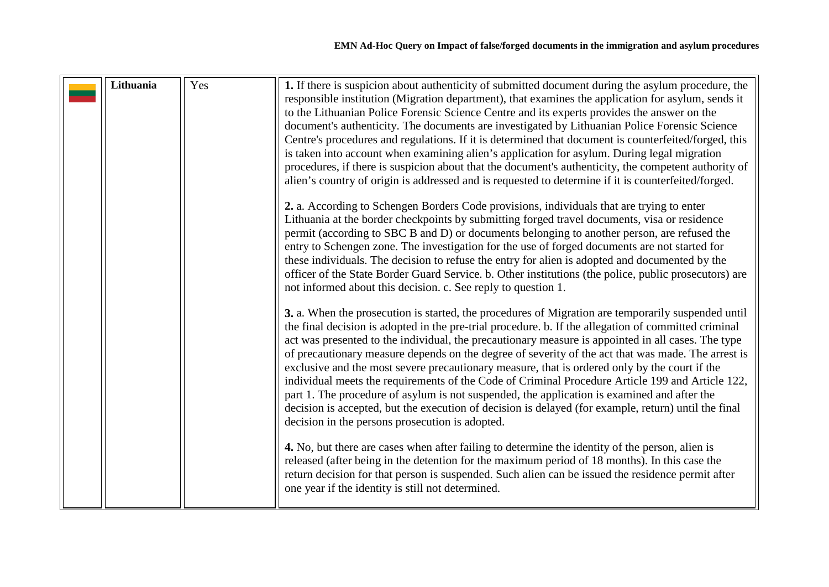<span id="page-15-0"></span>

| Lithuania | Yes | 1. If there is suspicion about authenticity of submitted document during the asylum procedure, the<br>responsible institution (Migration department), that examines the application for asylum, sends it<br>to the Lithuanian Police Forensic Science Centre and its experts provides the answer on the<br>document's authenticity. The documents are investigated by Lithuanian Police Forensic Science<br>Centre's procedures and regulations. If it is determined that document is counterfeited/forged, this<br>is taken into account when examining alien's application for asylum. During legal migration<br>procedures, if there is suspicion about that the document's authenticity, the competent authority of<br>alien's country of origin is addressed and is requested to determine if it is counterfeited/forged.<br>2. a. According to Schengen Borders Code provisions, individuals that are trying to enter<br>Lithuania at the border checkpoints by submitting forged travel documents, visa or residence<br>permit (according to SBC B and D) or documents belonging to another person, are refused the<br>entry to Schengen zone. The investigation for the use of forged documents are not started for<br>these individuals. The decision to refuse the entry for alien is adopted and documented by the<br>officer of the State Border Guard Service. b. Other institutions (the police, public prosecutors) are<br>not informed about this decision. c. See reply to question 1.<br>3. a. When the prosecution is started, the procedures of Migration are temporarily suspended until<br>the final decision is adopted in the pre-trial procedure. b. If the allegation of committed criminal |
|-----------|-----|-----------------------------------------------------------------------------------------------------------------------------------------------------------------------------------------------------------------------------------------------------------------------------------------------------------------------------------------------------------------------------------------------------------------------------------------------------------------------------------------------------------------------------------------------------------------------------------------------------------------------------------------------------------------------------------------------------------------------------------------------------------------------------------------------------------------------------------------------------------------------------------------------------------------------------------------------------------------------------------------------------------------------------------------------------------------------------------------------------------------------------------------------------------------------------------------------------------------------------------------------------------------------------------------------------------------------------------------------------------------------------------------------------------------------------------------------------------------------------------------------------------------------------------------------------------------------------------------------------------------------------------------------------------------------------------------------------------------------|
|           |     | act was presented to the individual, the precautionary measure is appointed in all cases. The type<br>of precautionary measure depends on the degree of severity of the act that was made. The arrest is<br>exclusive and the most severe precautionary measure, that is ordered only by the court if the<br>individual meets the requirements of the Code of Criminal Procedure Article 199 and Article 122,<br>part 1. The procedure of asylum is not suspended, the application is examined and after the<br>decision is accepted, but the execution of decision is delayed (for example, return) until the final<br>decision in the persons prosecution is adopted.                                                                                                                                                                                                                                                                                                                                                                                                                                                                                                                                                                                                                                                                                                                                                                                                                                                                                                                                                                                                                                               |
|           |     | 4. No, but there are cases when after failing to determine the identity of the person, alien is<br>released (after being in the detention for the maximum period of 18 months). In this case the<br>return decision for that person is suspended. Such alien can be issued the residence permit after<br>one year if the identity is still not determined.                                                                                                                                                                                                                                                                                                                                                                                                                                                                                                                                                                                                                                                                                                                                                                                                                                                                                                                                                                                                                                                                                                                                                                                                                                                                                                                                                            |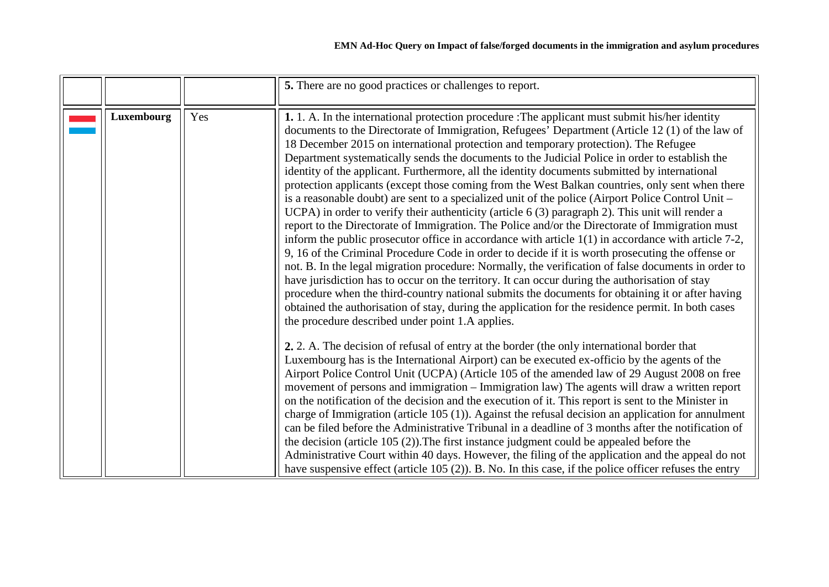|            |     | 5. There are no good practices or challenges to report.                                                                                                                                                                                                                                                                                                                                                                                                                                                                                                                                                                                                                                                                                                                                                                                                                                                                                                                                                                                                                                                                                                                                                                                                                                                                                                                                                                                                                                                                                                                                          |
|------------|-----|--------------------------------------------------------------------------------------------------------------------------------------------------------------------------------------------------------------------------------------------------------------------------------------------------------------------------------------------------------------------------------------------------------------------------------------------------------------------------------------------------------------------------------------------------------------------------------------------------------------------------------------------------------------------------------------------------------------------------------------------------------------------------------------------------------------------------------------------------------------------------------------------------------------------------------------------------------------------------------------------------------------------------------------------------------------------------------------------------------------------------------------------------------------------------------------------------------------------------------------------------------------------------------------------------------------------------------------------------------------------------------------------------------------------------------------------------------------------------------------------------------------------------------------------------------------------------------------------------|
| Luxembourg | Yes | 1. 1. A. In the international protection procedure : The applicant must submit his/her identity<br>documents to the Directorate of Immigration, Refugees' Department (Article 12(1) of the law of<br>18 December 2015 on international protection and temporary protection). The Refugee<br>Department systematically sends the documents to the Judicial Police in order to establish the<br>identity of the applicant. Furthermore, all the identity documents submitted by international<br>protection applicants (except those coming from the West Balkan countries, only sent when there<br>is a reasonable doubt) are sent to a specialized unit of the police (Airport Police Control Unit –<br>UCPA) in order to verify their authenticity (article 6 (3) paragraph 2). This unit will render a<br>report to the Directorate of Immigration. The Police and/or the Directorate of Immigration must<br>inform the public prosecutor office in accordance with article $1(1)$ in accordance with article 7-2,<br>9, 16 of the Criminal Procedure Code in order to decide if it is worth prosecuting the offense or<br>not. B. In the legal migration procedure: Normally, the verification of false documents in order to<br>have jurisdiction has to occur on the territory. It can occur during the authorisation of stay<br>procedure when the third-country national submits the documents for obtaining it or after having<br>obtained the authorisation of stay, during the application for the residence permit. In both cases<br>the procedure described under point 1.A applies. |
|            |     | 2. 2. A. The decision of refusal of entry at the border (the only international border that<br>Luxembourg has is the International Airport) can be executed ex-officio by the agents of the<br>Airport Police Control Unit (UCPA) (Article 105 of the amended law of 29 August 2008 on free<br>movement of persons and immigration – Immigration law) The agents will draw a written report<br>on the notification of the decision and the execution of it. This report is sent to the Minister in<br>charge of Immigration (article 105 (1)). Against the refusal decision an application for annulment<br>can be filed before the Administrative Tribunal in a deadline of 3 months after the notification of<br>the decision (article $105(2)$ ). The first instance judgment could be appealed before the<br>Administrative Court within 40 days. However, the filing of the application and the appeal do not<br>have suspensive effect (article $105(2)$ ). B. No. In this case, if the police officer refuses the entry                                                                                                                                                                                                                                                                                                                                                                                                                                                                                                                                                                   |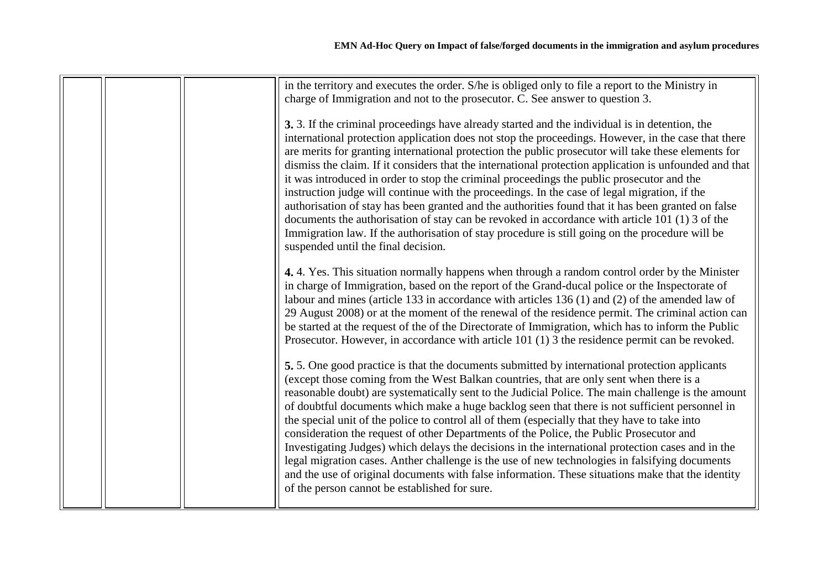| in the territory and executes the order. S/he is obliged only to file a report to the Ministry in<br>charge of Immigration and not to the prosecutor. C. See answer to question 3.                                                                                                                                                                                                                                                                                                                                                                                                                                                                                                                                                                                                                                                                                                                                                                                    |
|-----------------------------------------------------------------------------------------------------------------------------------------------------------------------------------------------------------------------------------------------------------------------------------------------------------------------------------------------------------------------------------------------------------------------------------------------------------------------------------------------------------------------------------------------------------------------------------------------------------------------------------------------------------------------------------------------------------------------------------------------------------------------------------------------------------------------------------------------------------------------------------------------------------------------------------------------------------------------|
| 3. 3. If the criminal proceedings have already started and the individual is in detention, the<br>international protection application does not stop the proceedings. However, in the case that there<br>are merits for granting international protection the public prosecutor will take these elements for<br>dismiss the claim. If it considers that the international protection application is unfounded and that<br>it was introduced in order to stop the criminal proceedings the public prosecutor and the<br>instruction judge will continue with the proceedings. In the case of legal migration, if the<br>authorisation of stay has been granted and the authorities found that it has been granted on false<br>documents the authorisation of stay can be revoked in accordance with article 101 (1) 3 of the<br>Immigration law. If the authorisation of stay procedure is still going on the procedure will be<br>suspended until the final decision. |
| 4.4. Yes. This situation normally happens when through a random control order by the Minister<br>in charge of Immigration, based on the report of the Grand-ducal police or the Inspectorate of<br>labour and mines (article 133 in accordance with articles 136 (1) and (2) of the amended law of<br>29 August 2008) or at the moment of the renewal of the residence permit. The criminal action can<br>be started at the request of the of the Directorate of Immigration, which has to inform the Public<br>Prosecutor. However, in accordance with article 101 (1) 3 the residence permit can be revoked.                                                                                                                                                                                                                                                                                                                                                        |
| 5.5. One good practice is that the documents submitted by international protection applicants<br>(except those coming from the West Balkan countries, that are only sent when there is a<br>reasonable doubt) are systematically sent to the Judicial Police. The main challenge is the amount<br>of doubtful documents which make a huge backlog seen that there is not sufficient personnel in<br>the special unit of the police to control all of them (especially that they have to take into<br>consideration the request of other Departments of the Police, the Public Prosecutor and<br>Investigating Judges) which delays the decisions in the international protection cases and in the<br>legal migration cases. Anther challenge is the use of new technologies in falsifying documents<br>and the use of original documents with false information. These situations make that the identity<br>of the person cannot be established for sure.             |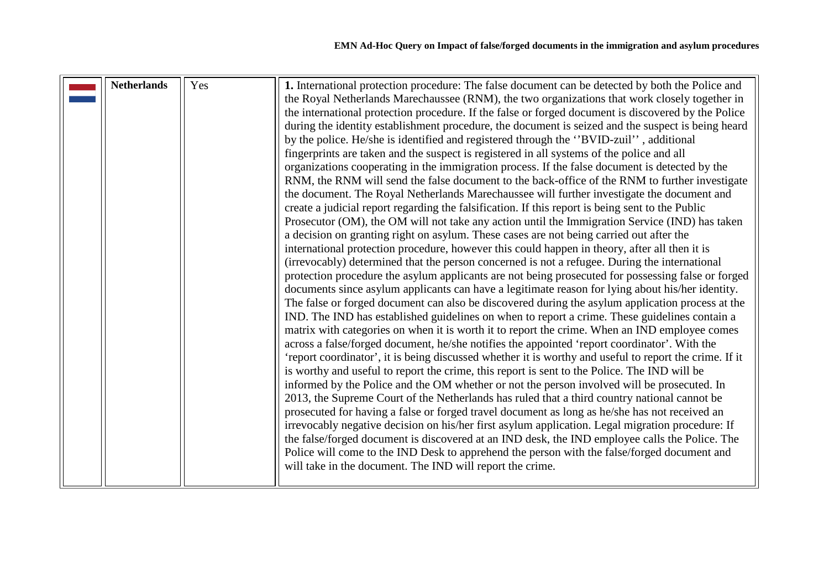<span id="page-18-0"></span>

| <b>Netherlands</b> | Yes | 1. International protection procedure: The false document can be detected by both the Police and<br>the Royal Netherlands Marechaussee (RNM), the two organizations that work closely together in<br>the international protection procedure. If the false or forged document is discovered by the Police<br>during the identity establishment procedure, the document is seized and the suspect is being heard |
|--------------------|-----|----------------------------------------------------------------------------------------------------------------------------------------------------------------------------------------------------------------------------------------------------------------------------------------------------------------------------------------------------------------------------------------------------------------|
|                    |     | by the police. He/she is identified and registered through the "BVID-zuil", additional<br>fingerprints are taken and the suspect is registered in all systems of the police and all<br>organizations cooperating in the immigration process. If the false document is detected by the                                                                                                                          |
|                    |     | RNM, the RNM will send the false document to the back-office of the RNM to further investigate<br>the document. The Royal Netherlands Marechaussee will further investigate the document and<br>create a judicial report regarding the falsification. If this report is being sent to the Public                                                                                                               |
|                    |     | Prosecutor (OM), the OM will not take any action until the Immigration Service (IND) has taken<br>a decision on granting right on asylum. These cases are not being carried out after the<br>international protection procedure, however this could happen in theory, after all then it is<br>(irrevocably) determined that the person concerned is not a refugee. During the international                    |
|                    |     | protection procedure the asylum applicants are not being prosecuted for possessing false or forged<br>documents since asylum applicants can have a legitimate reason for lying about his/her identity.<br>The false or forged document can also be discovered during the asylum application process at the                                                                                                     |
|                    |     | IND. The IND has established guidelines on when to report a crime. These guidelines contain a<br>matrix with categories on when it is worth it to report the crime. When an IND employee comes<br>across a false/forged document, he/she notifies the appointed 'report coordinator'. With the                                                                                                                 |
|                    |     | 'report coordinator', it is being discussed whether it is worthy and useful to report the crime. If it<br>is worthy and useful to report the crime, this report is sent to the Police. The IND will be<br>informed by the Police and the OM whether or not the person involved will be prosecuted. In                                                                                                          |
|                    |     | 2013, the Supreme Court of the Netherlands has ruled that a third country national cannot be<br>prosecuted for having a false or forged travel document as long as he/she has not received an<br>irrevocably negative decision on his/her first asylum application. Legal migration procedure: If                                                                                                              |
|                    |     | the false/forged document is discovered at an IND desk, the IND employee calls the Police. The<br>Police will come to the IND Desk to apprehend the person with the false/forged document and<br>will take in the document. The IND will report the crime.                                                                                                                                                     |
|                    |     |                                                                                                                                                                                                                                                                                                                                                                                                                |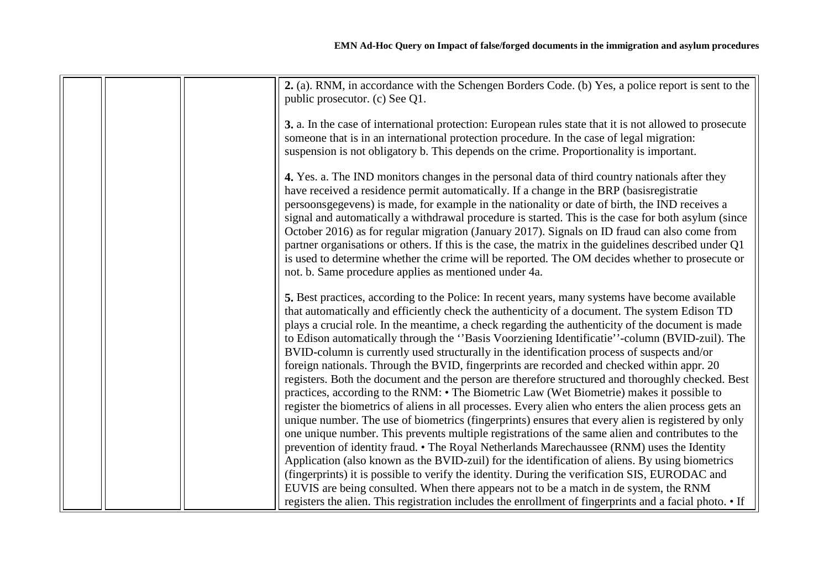|  | 2. (a). RNM, in accordance with the Schengen Borders Code. (b) Yes, a police report is sent to the<br>public prosecutor. (c) See Q1.                                                                                                                                                                                                                                                                                                                                                                                                                                                                                                                                                                                                                                       |
|--|----------------------------------------------------------------------------------------------------------------------------------------------------------------------------------------------------------------------------------------------------------------------------------------------------------------------------------------------------------------------------------------------------------------------------------------------------------------------------------------------------------------------------------------------------------------------------------------------------------------------------------------------------------------------------------------------------------------------------------------------------------------------------|
|  | 3. a. In the case of international protection: European rules state that it is not allowed to prosecute<br>someone that is in an international protection procedure. In the case of legal migration:                                                                                                                                                                                                                                                                                                                                                                                                                                                                                                                                                                       |
|  | suspension is not obligatory b. This depends on the crime. Proportionality is important.                                                                                                                                                                                                                                                                                                                                                                                                                                                                                                                                                                                                                                                                                   |
|  | 4. Yes. a. The IND monitors changes in the personal data of third country nationals after they<br>have received a residence permit automatically. If a change in the BRP (basis registratie<br>persoonsgegevens) is made, for example in the nationality or date of birth, the IND receives a<br>signal and automatically a withdrawal procedure is started. This is the case for both asylum (since<br>October 2016) as for regular migration (January 2017). Signals on ID fraud can also come from<br>partner organisations or others. If this is the case, the matrix in the guidelines described under Q1<br>is used to determine whether the crime will be reported. The OM decides whether to prosecute or<br>not. b. Same procedure applies as mentioned under 4a. |
|  | 5. Best practices, according to the Police: In recent years, many systems have become available<br>that automatically and efficiently check the authenticity of a document. The system Edison TD<br>plays a crucial role. In the meantime, a check regarding the authenticity of the document is made                                                                                                                                                                                                                                                                                                                                                                                                                                                                      |
|  | to Edison automatically through the "Basis Voorziening Identificatie"-column (BVID-zuil). The<br>BVID-column is currently used structurally in the identification process of suspects and/or<br>foreign nationals. Through the BVID, fingerprints are recorded and checked within appr. 20                                                                                                                                                                                                                                                                                                                                                                                                                                                                                 |
|  | registers. Both the document and the person are therefore structured and thoroughly checked. Best                                                                                                                                                                                                                                                                                                                                                                                                                                                                                                                                                                                                                                                                          |
|  | practices, according to the RNM: • The Biometric Law (Wet Biometrie) makes it possible to                                                                                                                                                                                                                                                                                                                                                                                                                                                                                                                                                                                                                                                                                  |
|  | register the biometrics of aliens in all processes. Every alien who enters the alien process gets an                                                                                                                                                                                                                                                                                                                                                                                                                                                                                                                                                                                                                                                                       |
|  | unique number. The use of biometrics (fingerprints) ensures that every alien is registered by only<br>one unique number. This prevents multiple registrations of the same alien and contributes to the                                                                                                                                                                                                                                                                                                                                                                                                                                                                                                                                                                     |
|  | prevention of identity fraud. • The Royal Netherlands Marechaussee (RNM) uses the Identity                                                                                                                                                                                                                                                                                                                                                                                                                                                                                                                                                                                                                                                                                 |
|  | Application (also known as the BVID-zuil) for the identification of aliens. By using biometrics                                                                                                                                                                                                                                                                                                                                                                                                                                                                                                                                                                                                                                                                            |
|  | (fingerprints) it is possible to verify the identity. During the verification SIS, EURODAC and<br>EUVIS are being consulted. When there appears not to be a match in de system, the RNM                                                                                                                                                                                                                                                                                                                                                                                                                                                                                                                                                                                    |
|  | registers the alien. This registration includes the enrollment of fingerprints and a facial photo. • If                                                                                                                                                                                                                                                                                                                                                                                                                                                                                                                                                                                                                                                                    |
|  |                                                                                                                                                                                                                                                                                                                                                                                                                                                                                                                                                                                                                                                                                                                                                                            |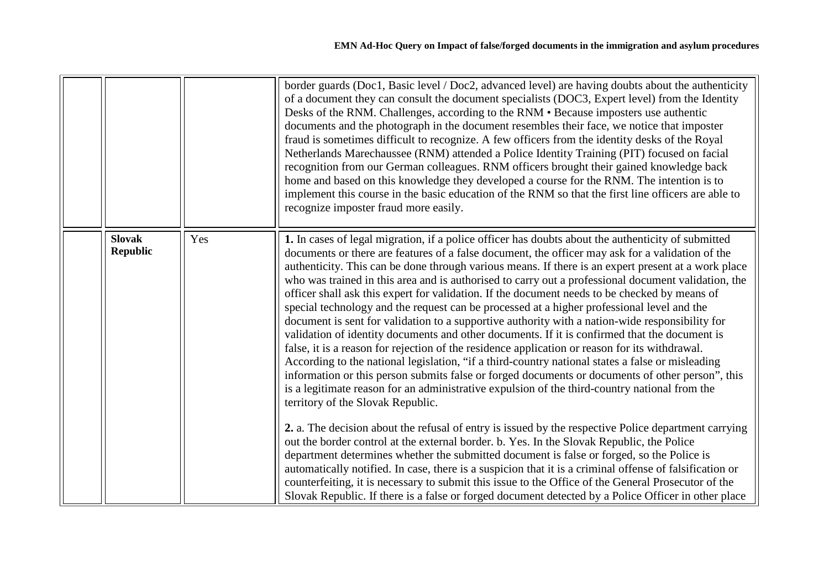<span id="page-20-0"></span>

|                                  |     | border guards (Doc1, Basic level / Doc2, advanced level) are having doubts about the authenticity<br>of a document they can consult the document specialists (DOC3, Expert level) from the Identity<br>Desks of the RNM. Challenges, according to the RNM • Because imposters use authentic<br>documents and the photograph in the document resembles their face, we notice that imposter<br>fraud is sometimes difficult to recognize. A few officers from the identity desks of the Royal<br>Netherlands Marechaussee (RNM) attended a Police Identity Training (PIT) focused on facial<br>recognition from our German colleagues. RNM officers brought their gained knowledge back<br>home and based on this knowledge they developed a course for the RNM. The intention is to<br>implement this course in the basic education of the RNM so that the first line officers are able to<br>recognize imposter fraud more easily.                                                                                                                                                                                                                                                                                                                                      |
|----------------------------------|-----|-------------------------------------------------------------------------------------------------------------------------------------------------------------------------------------------------------------------------------------------------------------------------------------------------------------------------------------------------------------------------------------------------------------------------------------------------------------------------------------------------------------------------------------------------------------------------------------------------------------------------------------------------------------------------------------------------------------------------------------------------------------------------------------------------------------------------------------------------------------------------------------------------------------------------------------------------------------------------------------------------------------------------------------------------------------------------------------------------------------------------------------------------------------------------------------------------------------------------------------------------------------------------|
| <b>Slovak</b><br><b>Republic</b> | Yes | 1. In cases of legal migration, if a police officer has doubts about the authenticity of submitted<br>documents or there are features of a false document, the officer may ask for a validation of the<br>authenticity. This can be done through various means. If there is an expert present at a work place<br>who was trained in this area and is authorised to carry out a professional document validation, the<br>officer shall ask this expert for validation. If the document needs to be checked by means of<br>special technology and the request can be processed at a higher professional level and the<br>document is sent for validation to a supportive authority with a nation-wide responsibility for<br>validation of identity documents and other documents. If it is confirmed that the document is<br>false, it is a reason for rejection of the residence application or reason for its withdrawal.<br>According to the national legislation, "if a third-country national states a false or misleading<br>information or this person submits false or forged documents or documents of other person", this<br>is a legitimate reason for an administrative expulsion of the third-country national from the<br>territory of the Slovak Republic. |
|                                  |     | 2. a. The decision about the refusal of entry is issued by the respective Police department carrying<br>out the border control at the external border. b. Yes. In the Slovak Republic, the Police<br>department determines whether the submitted document is false or forged, so the Police is<br>automatically notified. In case, there is a suspicion that it is a criminal offense of falsification or<br>counterfeiting, it is necessary to submit this issue to the Office of the General Prosecutor of the<br>Slovak Republic. If there is a false or forged document detected by a Police Officer in other place                                                                                                                                                                                                                                                                                                                                                                                                                                                                                                                                                                                                                                                 |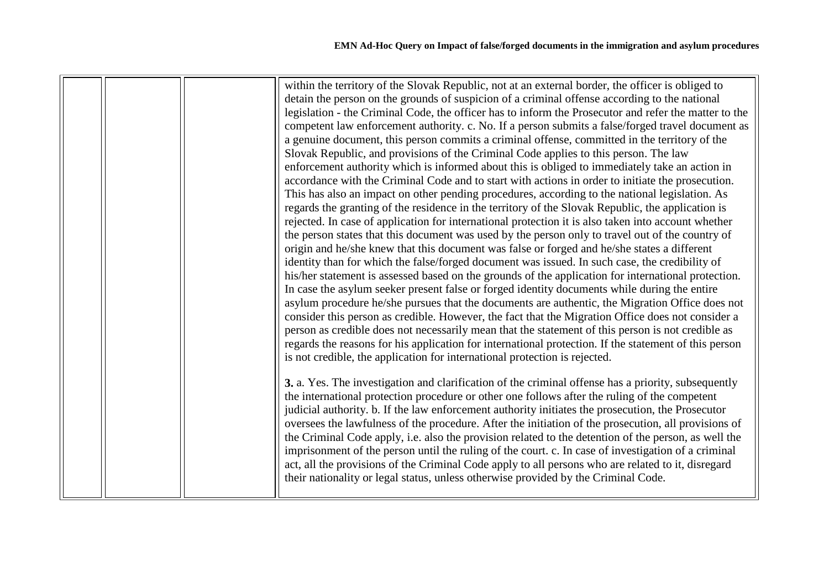|  | within the territory of the Slovak Republic, not at an external border, the officer is obliged to<br>detain the person on the grounds of suspicion of a criminal offense according to the national<br>legislation - the Criminal Code, the officer has to inform the Prosecutor and refer the matter to the<br>competent law enforcement authority. c. No. If a person submits a false/forged travel document as<br>a genuine document, this person commits a criminal offense, committed in the territory of the<br>Slovak Republic, and provisions of the Criminal Code applies to this person. The law<br>enforcement authority which is informed about this is obliged to immediately take an action in<br>accordance with the Criminal Code and to start with actions in order to initiate the prosecution.                                                                                                                                                                                                                                                                                                    |
|--|---------------------------------------------------------------------------------------------------------------------------------------------------------------------------------------------------------------------------------------------------------------------------------------------------------------------------------------------------------------------------------------------------------------------------------------------------------------------------------------------------------------------------------------------------------------------------------------------------------------------------------------------------------------------------------------------------------------------------------------------------------------------------------------------------------------------------------------------------------------------------------------------------------------------------------------------------------------------------------------------------------------------------------------------------------------------------------------------------------------------|
|  | rejected. In case of application for international protection it is also taken into account whether<br>the person states that this document was used by the person only to travel out of the country of<br>origin and he/she knew that this document was false or forged and he/she states a different<br>identity than for which the false/forged document was issued. In such case, the credibility of<br>his/her statement is assessed based on the grounds of the application for international protection.<br>In case the asylum seeker present false or forged identity documents while during the entire<br>asylum procedure he/she pursues that the documents are authentic, the Migration Office does not<br>consider this person as credible. However, the fact that the Migration Office does not consider a<br>person as credible does not necessarily mean that the statement of this person is not credible as<br>regards the reasons for his application for international protection. If the statement of this person<br>is not credible, the application for international protection is rejected. |
|  | 3. a. Yes. The investigation and clarification of the criminal offense has a priority, subsequently<br>the international protection procedure or other one follows after the ruling of the competent<br>judicial authority. b. If the law enforcement authority initiates the prosecution, the Prosecutor<br>oversees the lawfulness of the procedure. After the initiation of the prosecution, all provisions of<br>the Criminal Code apply, i.e. also the provision related to the detention of the person, as well the<br>imprisonment of the person until the ruling of the court. c. In case of investigation of a criminal<br>act, all the provisions of the Criminal Code apply to all persons who are related to it, disregard<br>their nationality or legal status, unless otherwise provided by the Criminal Code.                                                                                                                                                                                                                                                                                        |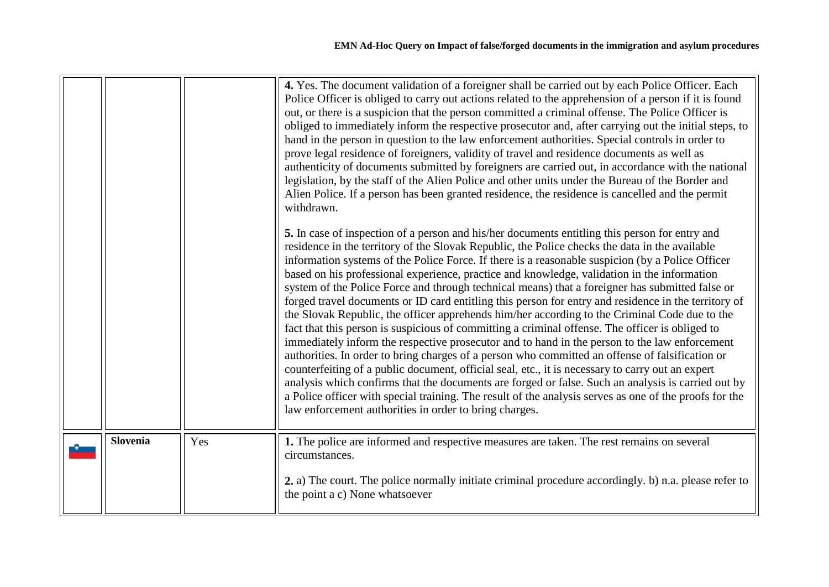<span id="page-22-0"></span>

|                 |     | 4. Yes. The document validation of a foreigner shall be carried out by each Police Officer. Each<br>Police Officer is obliged to carry out actions related to the apprehension of a person if it is found<br>out, or there is a suspicion that the person committed a criminal offense. The Police Officer is<br>obliged to immediately inform the respective prosecutor and, after carrying out the initial steps, to<br>hand in the person in question to the law enforcement authorities. Special controls in order to<br>prove legal residence of foreigners, validity of travel and residence documents as well as<br>authenticity of documents submitted by foreigners are carried out, in accordance with the national<br>legislation, by the staff of the Alien Police and other units under the Bureau of the Border and<br>Alien Police. If a person has been granted residence, the residence is cancelled and the permit<br>withdrawn.<br>5. In case of inspection of a person and his/her documents entitling this person for entry and<br>residence in the territory of the Slovak Republic, the Police checks the data in the available<br>information systems of the Police Force. If there is a reasonable suspicion (by a Police Officer<br>based on his professional experience, practice and knowledge, validation in the information<br>system of the Police Force and through technical means) that a foreigner has submitted false or<br>forged travel documents or ID card entitling this person for entry and residence in the territory of<br>the Slovak Republic, the officer apprehends him/her according to the Criminal Code due to the<br>fact that this person is suspicious of committing a criminal offense. The officer is obliged to<br>immediately inform the respective prosecutor and to hand in the person to the law enforcement<br>authorities. In order to bring charges of a person who committed an offense of falsification or<br>counterfeiting of a public document, official seal, etc., it is necessary to carry out an expert<br>analysis which confirms that the documents are forged or false. Such an analysis is carried out by<br>a Police officer with special training. The result of the analysis serves as one of the proofs for the<br>law enforcement authorities in order to bring charges. |
|-----------------|-----|------------------------------------------------------------------------------------------------------------------------------------------------------------------------------------------------------------------------------------------------------------------------------------------------------------------------------------------------------------------------------------------------------------------------------------------------------------------------------------------------------------------------------------------------------------------------------------------------------------------------------------------------------------------------------------------------------------------------------------------------------------------------------------------------------------------------------------------------------------------------------------------------------------------------------------------------------------------------------------------------------------------------------------------------------------------------------------------------------------------------------------------------------------------------------------------------------------------------------------------------------------------------------------------------------------------------------------------------------------------------------------------------------------------------------------------------------------------------------------------------------------------------------------------------------------------------------------------------------------------------------------------------------------------------------------------------------------------------------------------------------------------------------------------------------------------------------------------------------------------------------------------------------------------------------------------------------------------------------------------------------------------------------------------------------------------------------------------------------------------------------------------------------------------------------------------------------------------------------------------------------------------------------------------------------------------------------------------------------------|
| <b>Slovenia</b> | Yes | 1. The police are informed and respective measures are taken. The rest remains on several<br>circumstances.<br>2. a) The court. The police normally initiate criminal procedure accordingly. b) n.a. please refer to<br>the point a c) None whatsoever                                                                                                                                                                                                                                                                                                                                                                                                                                                                                                                                                                                                                                                                                                                                                                                                                                                                                                                                                                                                                                                                                                                                                                                                                                                                                                                                                                                                                                                                                                                                                                                                                                                                                                                                                                                                                                                                                                                                                                                                                                                                                                     |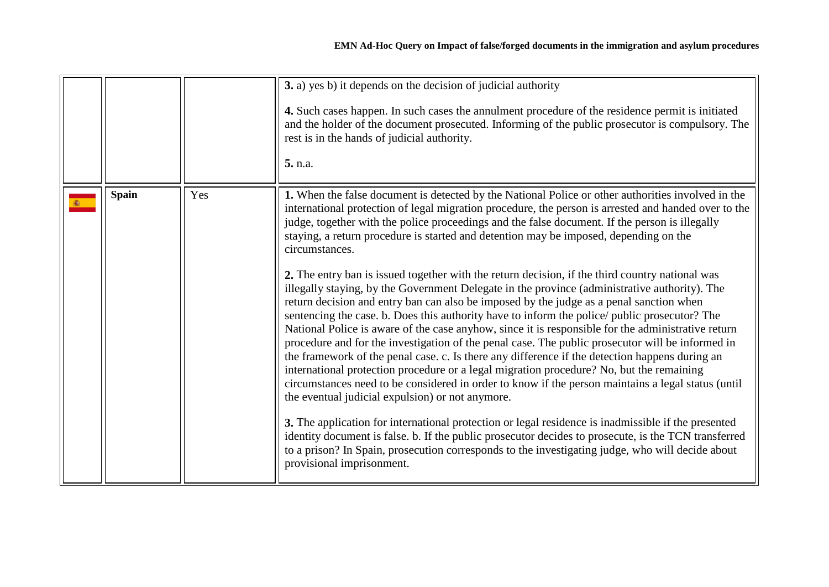<span id="page-23-0"></span>

|              |     | 3. a) yes b) it depends on the decision of judicial authority<br>4. Such cases happen. In such cases the annulment procedure of the residence permit is initiated<br>and the holder of the document prosecuted. Informing of the public prosecutor is compulsory. The<br>rest is in the hands of judicial authority.<br>5. n.a.                                                                                                                                                                                                                                                                                                                                                                                                                                                                                                                                                                                                                                                                                                                                                                                                                                                                                                                                                                                                                                                                                                                                                                                                                                                                                                                                                                                                           |
|--------------|-----|-------------------------------------------------------------------------------------------------------------------------------------------------------------------------------------------------------------------------------------------------------------------------------------------------------------------------------------------------------------------------------------------------------------------------------------------------------------------------------------------------------------------------------------------------------------------------------------------------------------------------------------------------------------------------------------------------------------------------------------------------------------------------------------------------------------------------------------------------------------------------------------------------------------------------------------------------------------------------------------------------------------------------------------------------------------------------------------------------------------------------------------------------------------------------------------------------------------------------------------------------------------------------------------------------------------------------------------------------------------------------------------------------------------------------------------------------------------------------------------------------------------------------------------------------------------------------------------------------------------------------------------------------------------------------------------------------------------------------------------------|
| <b>Spain</b> | Yes | 1. When the false document is detected by the National Police or other authorities involved in the<br>international protection of legal migration procedure, the person is arrested and handed over to the<br>judge, together with the police proceedings and the false document. If the person is illegally<br>staying, a return procedure is started and detention may be imposed, depending on the<br>circumstances.<br>2. The entry ban is issued together with the return decision, if the third country national was<br>illegally staying, by the Government Delegate in the province (administrative authority). The<br>return decision and entry ban can also be imposed by the judge as a penal sanction when<br>sentencing the case. b. Does this authority have to inform the police/ public prosecutor? The<br>National Police is aware of the case anyhow, since it is responsible for the administrative return<br>procedure and for the investigation of the penal case. The public prosecutor will be informed in<br>the framework of the penal case. c. Is there any difference if the detection happens during an<br>international protection procedure or a legal migration procedure? No, but the remaining<br>circumstances need to be considered in order to know if the person maintains a legal status (until<br>the eventual judicial expulsion) or not anymore.<br>3. The application for international protection or legal residence is inadmissible if the presented<br>identity document is false. b. If the public prosecutor decides to prosecute, is the TCN transferred<br>to a prison? In Spain, prosecution corresponds to the investigating judge, who will decide about<br>provisional imprisonment. |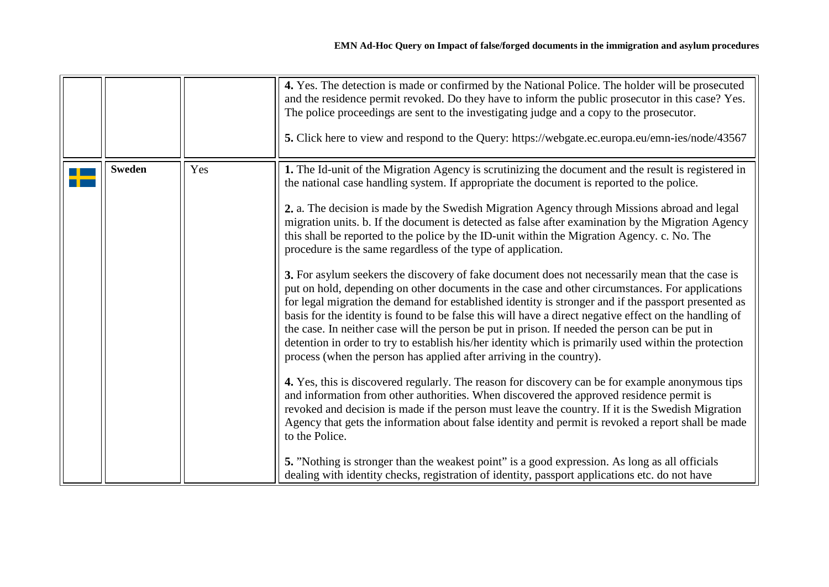<span id="page-24-0"></span>

|               |     | 4. Yes. The detection is made or confirmed by the National Police. The holder will be prosecuted<br>and the residence permit revoked. Do they have to inform the public prosecutor in this case? Yes.<br>The police proceedings are sent to the investigating judge and a copy to the prosecutor.<br>5. Click here to view and respond to the Query: https://webgate.ec.europa.eu/emn-ies/node/43567                                                                                                                                                                                                                                                                                                                                                                                                                                                                                                                                                                                                                                                                                                                                                                                                                                                                                                                                                                                                                                                                                                                                                                                                                                                                                                                                                                                                                                                                                                              |
|---------------|-----|-------------------------------------------------------------------------------------------------------------------------------------------------------------------------------------------------------------------------------------------------------------------------------------------------------------------------------------------------------------------------------------------------------------------------------------------------------------------------------------------------------------------------------------------------------------------------------------------------------------------------------------------------------------------------------------------------------------------------------------------------------------------------------------------------------------------------------------------------------------------------------------------------------------------------------------------------------------------------------------------------------------------------------------------------------------------------------------------------------------------------------------------------------------------------------------------------------------------------------------------------------------------------------------------------------------------------------------------------------------------------------------------------------------------------------------------------------------------------------------------------------------------------------------------------------------------------------------------------------------------------------------------------------------------------------------------------------------------------------------------------------------------------------------------------------------------------------------------------------------------------------------------------------------------|
| <b>Sweden</b> | Yes | 1. The Id-unit of the Migration Agency is scrutinizing the document and the result is registered in<br>the national case handling system. If appropriate the document is reported to the police.<br>2. a. The decision is made by the Swedish Migration Agency through Missions abroad and legal<br>migration units. b. If the document is detected as false after examination by the Migration Agency<br>this shall be reported to the police by the ID-unit within the Migration Agency. c. No. The<br>procedure is the same regardless of the type of application.<br>3. For asylum seekers the discovery of fake document does not necessarily mean that the case is<br>put on hold, depending on other documents in the case and other circumstances. For applications<br>for legal migration the demand for established identity is stronger and if the passport presented as<br>basis for the identity is found to be false this will have a direct negative effect on the handling of<br>the case. In neither case will the person be put in prison. If needed the person can be put in<br>detention in order to try to establish his/her identity which is primarily used within the protection<br>process (when the person has applied after arriving in the country).<br>4. Yes, this is discovered regularly. The reason for discovery can be for example anonymous tips<br>and information from other authorities. When discovered the approved residence permit is<br>revoked and decision is made if the person must leave the country. If it is the Swedish Migration<br>Agency that gets the information about false identity and permit is revoked a report shall be made<br>to the Police.<br>5. "Nothing is stronger than the weakest point" is a good expression. As long as all officials<br>dealing with identity checks, registration of identity, passport applications etc. do not have |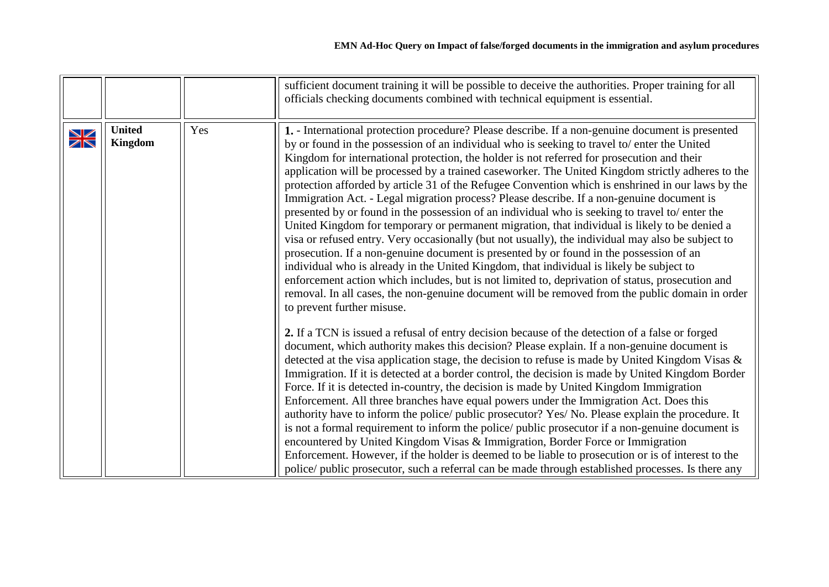<span id="page-25-0"></span>

|                                                       |                          |     | sufficient document training it will be possible to deceive the authorities. Proper training for all<br>officials checking documents combined with technical equipment is essential.                                                                                                                                                                                                                                                                                                                                                                                                                                                                                                                                                                                                                                                                                                                                                                                                                                                                                                                                                                                                                                                                                                                                                       |
|-------------------------------------------------------|--------------------------|-----|--------------------------------------------------------------------------------------------------------------------------------------------------------------------------------------------------------------------------------------------------------------------------------------------------------------------------------------------------------------------------------------------------------------------------------------------------------------------------------------------------------------------------------------------------------------------------------------------------------------------------------------------------------------------------------------------------------------------------------------------------------------------------------------------------------------------------------------------------------------------------------------------------------------------------------------------------------------------------------------------------------------------------------------------------------------------------------------------------------------------------------------------------------------------------------------------------------------------------------------------------------------------------------------------------------------------------------------------|
| $\frac{\sum\limits_{i=1}^{n}}{\sum\limits_{i=1}^{n}}$ | <b>United</b><br>Kingdom | Yes | 1. - International protection procedure? Please describe. If a non-genuine document is presented<br>by or found in the possession of an individual who is seeking to travel to/ enter the United<br>Kingdom for international protection, the holder is not referred for prosecution and their<br>application will be processed by a trained caseworker. The United Kingdom strictly adheres to the<br>protection afforded by article 31 of the Refugee Convention which is enshrined in our laws by the<br>Immigration Act. - Legal migration process? Please describe. If a non-genuine document is<br>presented by or found in the possession of an individual who is seeking to travel to/ enter the<br>United Kingdom for temporary or permanent migration, that individual is likely to be denied a<br>visa or refused entry. Very occasionally (but not usually), the individual may also be subject to<br>prosecution. If a non-genuine document is presented by or found in the possession of an<br>individual who is already in the United Kingdom, that individual is likely be subject to<br>enforcement action which includes, but is not limited to, deprivation of status, prosecution and<br>removal. In all cases, the non-genuine document will be removed from the public domain in order<br>to prevent further misuse. |
|                                                       |                          |     | 2. If a TCN is issued a refusal of entry decision because of the detection of a false or forged<br>document, which authority makes this decision? Please explain. If a non-genuine document is<br>detected at the visa application stage, the decision to refuse is made by United Kingdom Visas &<br>Immigration. If it is detected at a border control, the decision is made by United Kingdom Border<br>Force. If it is detected in-country, the decision is made by United Kingdom Immigration<br>Enforcement. All three branches have equal powers under the Immigration Act. Does this<br>authority have to inform the police/ public prosecutor? Yes/ No. Please explain the procedure. It<br>is not a formal requirement to inform the police/ public prosecutor if a non-genuine document is<br>encountered by United Kingdom Visas & Immigration, Border Force or Immigration<br>Enforcement. However, if the holder is deemed to be liable to prosecution or is of interest to the<br>police/ public prosecutor, such a referral can be made through established processes. Is there any                                                                                                                                                                                                                                        |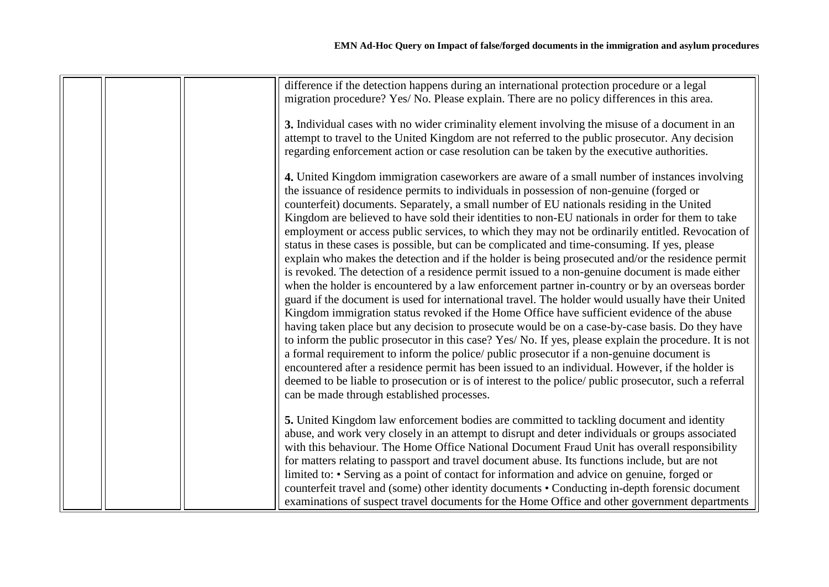|  | difference if the detection happens during an international protection procedure or a legal<br>migration procedure? Yes/ No. Please explain. There are no policy differences in this area.    |
|--|-----------------------------------------------------------------------------------------------------------------------------------------------------------------------------------------------|
|  |                                                                                                                                                                                               |
|  | 3. Individual cases with no wider criminality element involving the misuse of a document in an                                                                                                |
|  | attempt to travel to the United Kingdom are not referred to the public prosecutor. Any decision                                                                                               |
|  | regarding enforcement action or case resolution can be taken by the executive authorities.                                                                                                    |
|  | 4. United Kingdom immigration caseworkers are aware of a small number of instances involving                                                                                                  |
|  | the issuance of residence permits to individuals in possession of non-genuine (forged or                                                                                                      |
|  | counterfeit) documents. Separately, a small number of EU nationals residing in the United                                                                                                     |
|  | Kingdom are believed to have sold their identities to non-EU nationals in order for them to take                                                                                              |
|  | employment or access public services, to which they may not be ordinarily entitled. Revocation of                                                                                             |
|  | status in these cases is possible, but can be complicated and time-consuming. If yes, please                                                                                                  |
|  | explain who makes the detection and if the holder is being prosecuted and/or the residence permit                                                                                             |
|  | is revoked. The detection of a residence permit issued to a non-genuine document is made either                                                                                               |
|  | when the holder is encountered by a law enforcement partner in-country or by an overseas border                                                                                               |
|  | guard if the document is used for international travel. The holder would usually have their United                                                                                            |
|  | Kingdom immigration status revoked if the Home Office have sufficient evidence of the abuse                                                                                                   |
|  | having taken place but any decision to prosecute would be on a case-by-case basis. Do they have                                                                                               |
|  | to inform the public prosecutor in this case? Yes/ No. If yes, please explain the procedure. It is not                                                                                        |
|  | a formal requirement to inform the police/ public prosecutor if a non-genuine document is<br>encountered after a residence permit has been issued to an individual. However, if the holder is |
|  | deemed to be liable to prosecution or is of interest to the police/ public prosecutor, such a referral                                                                                        |
|  | can be made through established processes.                                                                                                                                                    |
|  |                                                                                                                                                                                               |
|  | 5. United Kingdom law enforcement bodies are committed to tackling document and identity                                                                                                      |
|  | abuse, and work very closely in an attempt to disrupt and deter individuals or groups associated                                                                                              |
|  | with this behaviour. The Home Office National Document Fraud Unit has overall responsibility                                                                                                  |
|  | for matters relating to passport and travel document abuse. Its functions include, but are not                                                                                                |
|  | limited to: • Serving as a point of contact for information and advice on genuine, forged or                                                                                                  |
|  | counterfeit travel and (some) other identity documents • Conducting in-depth forensic document                                                                                                |
|  | examinations of suspect travel documents for the Home Office and other government departments                                                                                                 |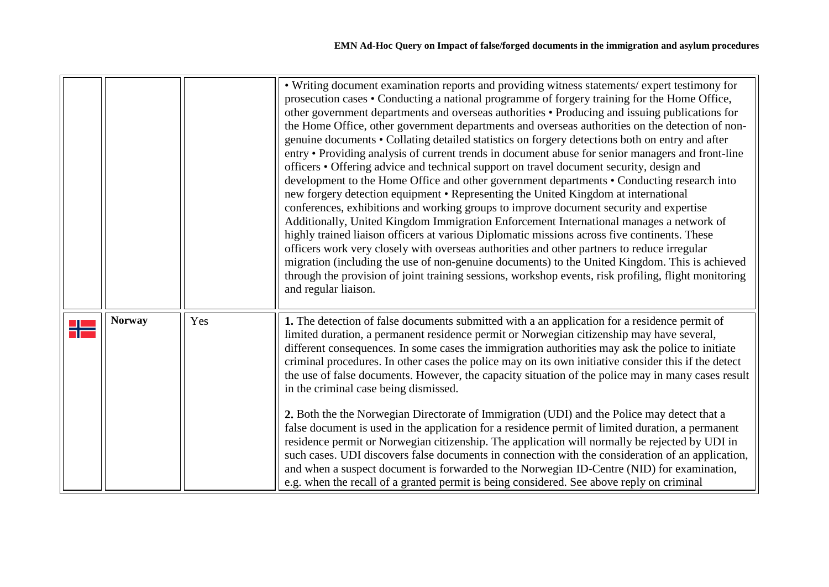<span id="page-27-0"></span>

|               |     | • Writing document examination reports and providing witness statements/expert testimony for<br>prosecution cases • Conducting a national programme of forgery training for the Home Office,<br>other government departments and overseas authorities • Producing and issuing publications for<br>the Home Office, other government departments and overseas authorities on the detection of non-<br>genuine documents • Collating detailed statistics on forgery detections both on entry and after<br>entry • Providing analysis of current trends in document abuse for senior managers and front-line<br>officers • Offering advice and technical support on travel document security, design and<br>development to the Home Office and other government departments • Conducting research into<br>new forgery detection equipment • Representing the United Kingdom at international<br>conferences, exhibitions and working groups to improve document security and expertise<br>Additionally, United Kingdom Immigration Enforcement International manages a network of<br>highly trained liaison officers at various Diplomatic missions across five continents. These<br>officers work very closely with overseas authorities and other partners to reduce irregular<br>migration (including the use of non-genuine documents) to the United Kingdom. This is achieved<br>through the provision of joint training sessions, workshop events, risk profiling, flight monitoring<br>and regular liaison. |
|---------------|-----|-----------------------------------------------------------------------------------------------------------------------------------------------------------------------------------------------------------------------------------------------------------------------------------------------------------------------------------------------------------------------------------------------------------------------------------------------------------------------------------------------------------------------------------------------------------------------------------------------------------------------------------------------------------------------------------------------------------------------------------------------------------------------------------------------------------------------------------------------------------------------------------------------------------------------------------------------------------------------------------------------------------------------------------------------------------------------------------------------------------------------------------------------------------------------------------------------------------------------------------------------------------------------------------------------------------------------------------------------------------------------------------------------------------------------------------------------------------------------------------------------------------------|
| <b>Norway</b> | Yes | 1. The detection of false documents submitted with a an application for a residence permit of<br>limited duration, a permanent residence permit or Norwegian citizenship may have several,<br>different consequences. In some cases the immigration authorities may ask the police to initiate<br>criminal procedures. In other cases the police may on its own initiative consider this if the detect<br>the use of false documents. However, the capacity situation of the police may in many cases result<br>in the criminal case being dismissed.<br>2. Both the the Norwegian Directorate of Immigration (UDI) and the Police may detect that a<br>false document is used in the application for a residence permit of limited duration, a permanent<br>residence permit or Norwegian citizenship. The application will normally be rejected by UDI in<br>such cases. UDI discovers false documents in connection with the consideration of an application,<br>and when a suspect document is forwarded to the Norwegian ID-Centre (NID) for examination,<br>e.g. when the recall of a granted permit is being considered. See above reply on criminal                                                                                                                                                                                                                                                                                                                                                     |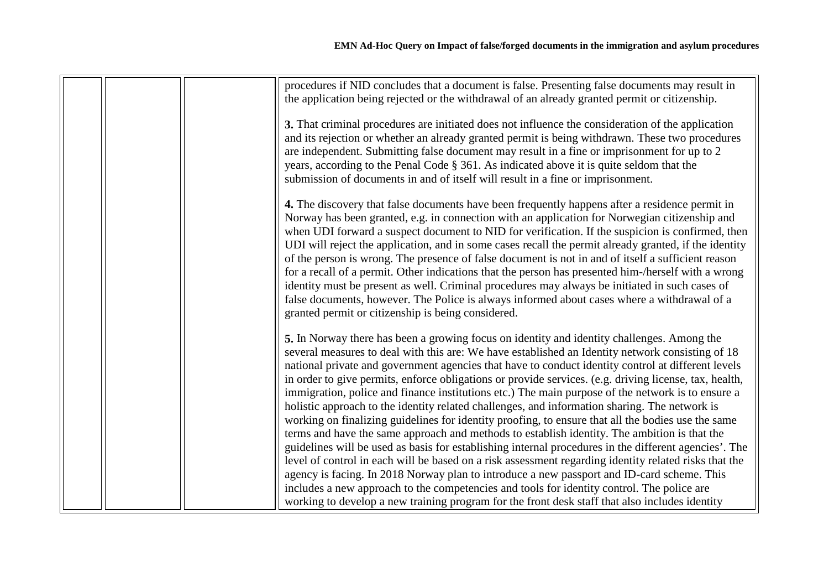|  | procedures if NID concludes that a document is false. Presenting false documents may result in<br>the application being rejected or the withdrawal of an already granted permit or citizenship.                                                                                                                                                                                                                                                                                                                                                                                                                                                                                                                                                                                                                                                                                                                                                                                                                                                                                                                                                                                                                                                                                                                                            |
|--|--------------------------------------------------------------------------------------------------------------------------------------------------------------------------------------------------------------------------------------------------------------------------------------------------------------------------------------------------------------------------------------------------------------------------------------------------------------------------------------------------------------------------------------------------------------------------------------------------------------------------------------------------------------------------------------------------------------------------------------------------------------------------------------------------------------------------------------------------------------------------------------------------------------------------------------------------------------------------------------------------------------------------------------------------------------------------------------------------------------------------------------------------------------------------------------------------------------------------------------------------------------------------------------------------------------------------------------------|
|  | 3. That criminal procedures are initiated does not influence the consideration of the application<br>and its rejection or whether an already granted permit is being withdrawn. These two procedures<br>are independent. Submitting false document may result in a fine or imprisonment for up to 2<br>years, according to the Penal Code § 361. As indicated above it is quite seldom that the<br>submission of documents in and of itself will result in a fine or imprisonment.                                                                                                                                                                                                                                                                                                                                                                                                                                                                                                                                                                                                                                                                                                                                                                                                                                                         |
|  | 4. The discovery that false documents have been frequently happens after a residence permit in<br>Norway has been granted, e.g. in connection with an application for Norwegian citizenship and<br>when UDI forward a suspect document to NID for verification. If the suspicion is confirmed, then<br>UDI will reject the application, and in some cases recall the permit already granted, if the identity<br>of the person is wrong. The presence of false document is not in and of itself a sufficient reason<br>for a recall of a permit. Other indications that the person has presented him-/herself with a wrong<br>identity must be present as well. Criminal procedures may always be initiated in such cases of<br>false documents, however. The Police is always informed about cases where a withdrawal of a<br>granted permit or citizenship is being considered.                                                                                                                                                                                                                                                                                                                                                                                                                                                           |
|  | 5. In Norway there has been a growing focus on identity and identity challenges. Among the<br>several measures to deal with this are: We have established an Identity network consisting of 18<br>national private and government agencies that have to conduct identity control at different levels<br>in order to give permits, enforce obligations or provide services. (e.g. driving license, tax, health,<br>immigration, police and finance institutions etc.) The main purpose of the network is to ensure a<br>holistic approach to the identity related challenges, and information sharing. The network is<br>working on finalizing guidelines for identity proofing, to ensure that all the bodies use the same<br>terms and have the same approach and methods to establish identity. The ambition is that the<br>guidelines will be used as basis for establishing internal procedures in the different agencies'. The<br>level of control in each will be based on a risk assessment regarding identity related risks that the<br>agency is facing. In 2018 Norway plan to introduce a new passport and ID-card scheme. This<br>includes a new approach to the competencies and tools for identity control. The police are<br>working to develop a new training program for the front desk staff that also includes identity |